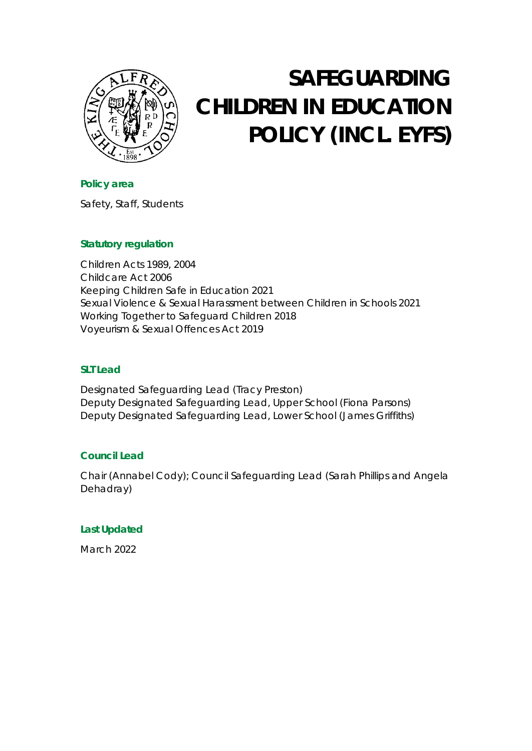

# **SAFEGUARDING CHILDREN IN EDUCATION POLICY (INCL. EYFS)**

**Policy area**

Safety, Staff, Students

### **Statutory regulation**

Children Acts 1989, 2004 Childcare Act 2006 Keeping Children Safe in Education 2021 Sexual Violence & Sexual Harassment between Children in Schools 2021 Working Together to Safeguard Children 2018 Voyeurism & Sexual Offences Act 2019

### **SLT Lead**

Designated Safeguarding Lead (Tracy Preston) Deputy Designated Safeguarding Lead, Upper School (Fiona Parsons) Deputy Designated Safeguarding Lead, Lower School (James Griffiths)

### **Council Lead**

Chair (Annabel Cody); Council Safeguarding Lead (Sarah Phillips and Angela Dehadray)

### **Last Updated**

March 2022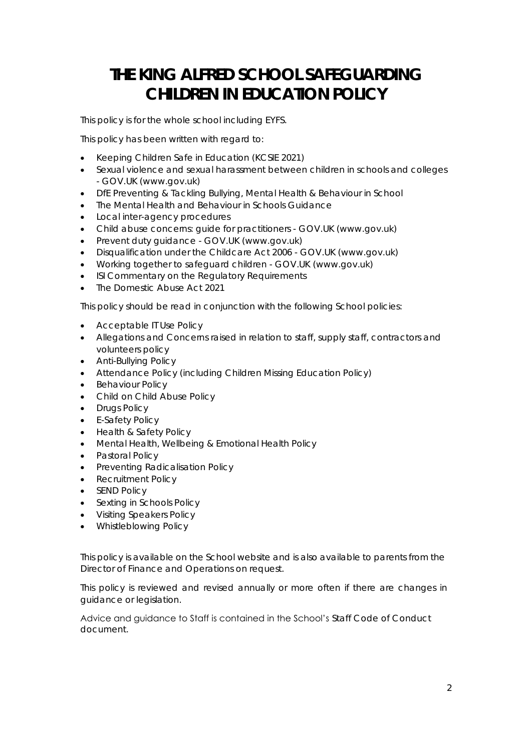# **THE KING ALFRED SCHOOL SAFEGUARDING CHILDREN IN EDUCATION POLICY**

This policy is for the whole school including EYFS.

This policy has been written with regard to:

- Keeping Children Safe in Education (KCSIE 2021)
- [Sexual violence and sexual harassment between children in schools and colleges](https://www.gov.uk/government/publications/sexual-violence-and-sexual-harassment-between-children-in-schools-and-colleges)  - [GOV.UK \(www.gov.uk\)](https://www.gov.uk/government/publications/sexual-violence-and-sexual-harassment-between-children-in-schools-and-colleges)
- DfE Preventing & Tackling Bullying, Mental Health & Behaviour in School
- The Mental Health and Behaviour in Schools Guidance
- Local inter-agency procedures
- [Child abuse concerns: guide for practitioners -](https://www.gov.uk/government/publications/what-to-do-if-youre-worried-a-child-is-being-abused--2) GOV.UK (www.gov.uk)
- [Prevent duty guidance -](https://www.gov.uk/government/publications/prevent-duty-guidance) GOV.UK (www.gov.uk)
- [Disqualification under the Childcare Act 2006 -](https://www.gov.uk/government/publications/disqualification-under-the-childcare-act-2006/disqualification-under-the-childcare-act-2006) GOV.UK (www.gov.uk)
- [Working together to safeguard children -](https://www.gov.uk/government/publications/working-together-to-safeguard-children--2) GOV.UK (www.gov.uk)
- ISI Commentary on the Regulatory Requirements
- The Domestic Abuse Act 2021

This policy should be read in conjunction with the following School policies:

- Acceptable IT Use Policy
- Allegations and Concerns raised in relation to staff, supply staff, contractors and volunteers policy
- Anti-Bullying Policy
- Attendance Policy (including Children Missing Education Policy)
- Behaviour Policy
- Child on Child Abuse Policy
- Drugs Policy
- E-Safety Policy
- Health & Safety Policy
- Mental Health, Wellbeing & Emotional Health Policy
- Pastoral Policy
- Preventing Radicalisation Policy
- Recruitment Policy
- **SEND Policy**
- Sexting in Schools Policy
- Visiting Speakers Policy
- Whistleblowing Policy

This policy is available on the School website and is also available to parents from the Director of Finance and Operations on request.

This policy is reviewed and revised annually or more often if there are changes in guidance or legislation.

Advice and guidance to Staff is contained in the School's Staff Code of Conduct document.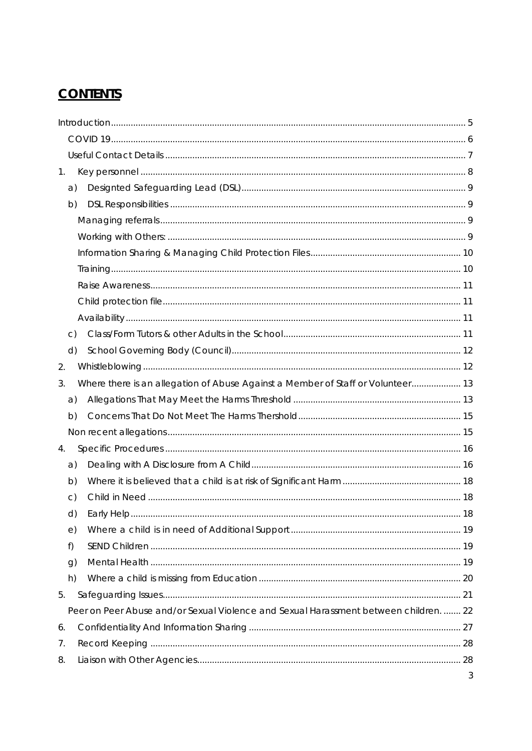# **CONTENTS**

| 1.             |                                                                                       |   |  |  |  |  |
|----------------|---------------------------------------------------------------------------------------|---|--|--|--|--|
| a)             |                                                                                       |   |  |  |  |  |
| b)             |                                                                                       |   |  |  |  |  |
|                |                                                                                       |   |  |  |  |  |
|                |                                                                                       |   |  |  |  |  |
|                |                                                                                       |   |  |  |  |  |
|                |                                                                                       |   |  |  |  |  |
|                |                                                                                       |   |  |  |  |  |
|                |                                                                                       |   |  |  |  |  |
|                |                                                                                       |   |  |  |  |  |
| $\circ$ )      |                                                                                       |   |  |  |  |  |
| d)             |                                                                                       |   |  |  |  |  |
| 2.             |                                                                                       |   |  |  |  |  |
| 3.             | Where there is an allegation of Abuse Against a Member of Staff or Volunteer 13       |   |  |  |  |  |
| a)             |                                                                                       |   |  |  |  |  |
| b)             |                                                                                       |   |  |  |  |  |
|                |                                                                                       |   |  |  |  |  |
| 4.             |                                                                                       |   |  |  |  |  |
| a)             |                                                                                       |   |  |  |  |  |
| b)             |                                                                                       |   |  |  |  |  |
| $\circ$ )      |                                                                                       |   |  |  |  |  |
| d)             | 18                                                                                    |   |  |  |  |  |
| $\Theta$ )     |                                                                                       |   |  |  |  |  |
| f)             |                                                                                       |   |  |  |  |  |
| $\mathfrak{g}$ |                                                                                       |   |  |  |  |  |
| h)             |                                                                                       |   |  |  |  |  |
| 5.             |                                                                                       |   |  |  |  |  |
|                | Peer on Peer Abuse and/or Sexual Violence and Sexual Harassment between children.  22 |   |  |  |  |  |
| 6.             |                                                                                       |   |  |  |  |  |
| 7.             |                                                                                       |   |  |  |  |  |
| 8.             |                                                                                       |   |  |  |  |  |
|                |                                                                                       | 3 |  |  |  |  |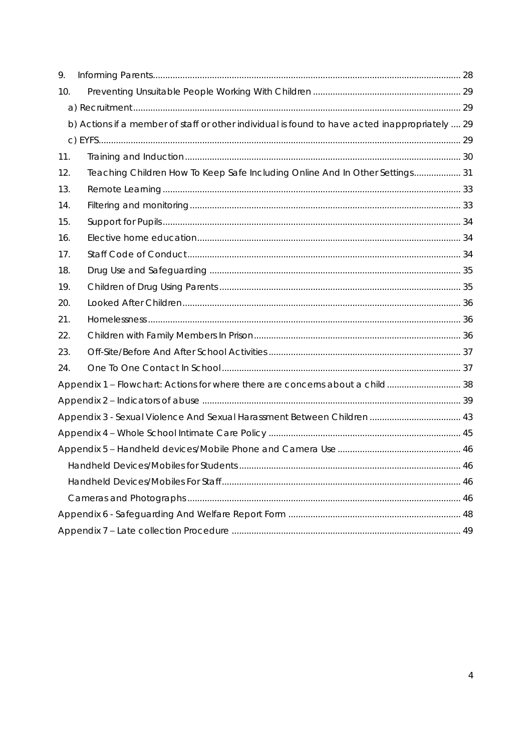| 9.  |                                                                                                |  |  |  |  |  |
|-----|------------------------------------------------------------------------------------------------|--|--|--|--|--|
| 10. |                                                                                                |  |  |  |  |  |
|     |                                                                                                |  |  |  |  |  |
|     | b) Actions if a member of staff or other individual is found to have acted inappropriately  29 |  |  |  |  |  |
|     |                                                                                                |  |  |  |  |  |
| 11. |                                                                                                |  |  |  |  |  |
| 12. | Teaching Children How To Keep Safe Including Online And In Other Settings 31                   |  |  |  |  |  |
| 13. |                                                                                                |  |  |  |  |  |
| 14. |                                                                                                |  |  |  |  |  |
| 15. |                                                                                                |  |  |  |  |  |
| 16. |                                                                                                |  |  |  |  |  |
| 17. |                                                                                                |  |  |  |  |  |
| 18. |                                                                                                |  |  |  |  |  |
| 19. |                                                                                                |  |  |  |  |  |
| 20. |                                                                                                |  |  |  |  |  |
| 21. |                                                                                                |  |  |  |  |  |
| 22. |                                                                                                |  |  |  |  |  |
| 23. |                                                                                                |  |  |  |  |  |
| 24. |                                                                                                |  |  |  |  |  |
|     | Appendix 1 - Flowchart: Actions for where there are concerns about a child 38                  |  |  |  |  |  |
|     |                                                                                                |  |  |  |  |  |
|     | Appendix 3 - Sexual Violence And Sexual Harassment Between Children  43                        |  |  |  |  |  |
|     |                                                                                                |  |  |  |  |  |
|     |                                                                                                |  |  |  |  |  |
|     |                                                                                                |  |  |  |  |  |
|     |                                                                                                |  |  |  |  |  |
|     |                                                                                                |  |  |  |  |  |
|     |                                                                                                |  |  |  |  |  |
|     |                                                                                                |  |  |  |  |  |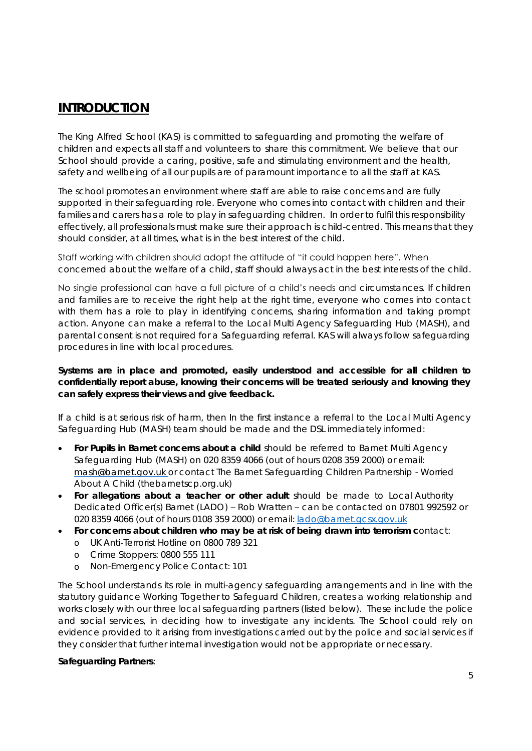### <span id="page-4-0"></span>**INTRODUCTION**

The King Alfred School (KAS) is committed to safeguarding and promoting the welfare of children and expects all staff and volunteers to share this commitment. We believe that our School should provide a caring, positive, safe and stimulating environment and the health, safety and wellbeing of all our pupils are of paramount importance to all the staff at KAS.

The school promotes an environment where staff are able to raise concerns and are fully supported in their safeguarding role. Everyone who comes into contact with children and their families and carers has a role to play in safeguarding children. In order to fulfil this responsibility effectively, all professionals must make sure their approach is child-centred. This means that they should consider, at all times, what is in the best interest of the child.

Staff working with children should adopt the attitude of "it could happen here". When concerned about the welfare of a child, staff should always act in the best interests of the child.

No single professional can have a full picture of a child's needs and circumstances. If children and families are to receive the right help at the right time, everyone who comes into contact with them has a role to play in identifying concerns, sharing information and taking prompt action. Anyone can make a referral to the Local Multi Agency Safeguarding Hub (MASH), and parental consent is not required for a Safeguarding referral. KAS will always follow safeguarding procedures in line with local procedures.

**Systems are in place and promoted, easily understood and accessible for all children to confidentially report abuse, knowing their concerns will be treated seriously and knowing they can safely express their views and give feedback.**

If a child is at serious risk of harm, then In the first instance a referral to the Local Multi Agency Safeguarding Hub (MASH) team should be made and the DSL immediately informed:

- **For Pupils in Barnet concerns about a child** should be referred to Barnet Multi Agency Safeguarding Hub (MASH) on 020 8359 4066 (out of hours 0208 359 2000) or email: [mash@barnet.gov.uk](mailto:mash@barnet.gov.uk) or contact [The Barnet Safeguarding Children Partnership -](https://www.thebarnetscp.org.uk/p/worried-about-a-child-1) Worried [About A Child \(thebarnetscp.org.uk\)](https://www.thebarnetscp.org.uk/p/worried-about-a-child-1)
- **For allegations about a teacher or other adult** should be made to Local Authority Dedicated Officer(s) Barnet (LADO) – Rob Wratten – can be contacted on 07801 992592 or 020 8359 4066 (out of hours 0108 359 2000) or email: [lado@barnet.gcsx.gov.uk](mailto:lado@barnet.gcsx.gov.uk)
- **For concerns about children who may be at risk of being drawn into terrorism c**ontact:
	- o UK Anti-Terrorist Hotline on 0800 789 321
	- o Crime Stoppers: 0800 555 111
	- o Non-Emergency Police Contact: 101

The School understands its role in multi-agency safeguarding arrangements and in line with the statutory guidance Working Together to Safeguard Children, creates a working relationship and works closely with our three local safeguarding partners (listed below). These include the police and social services, in deciding how to investigate any incidents. The School could rely on evidence provided to it arising from investigations carried out by the police and social services if they consider that further internal investigation would not be appropriate or necessary.

**Safeguarding Partners**: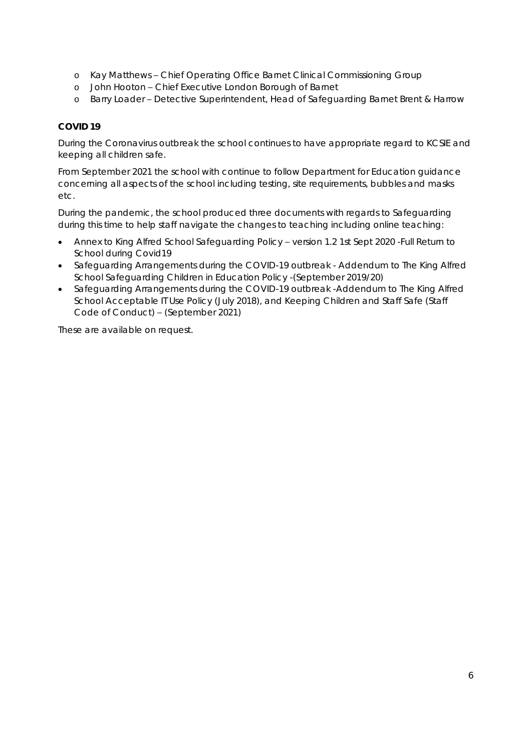- o Kay Matthews Chief Operating Office Barnet Clinical Commissioning Group
- o John Hooton Chief Executive London Borough of Barnet
- o Barry Loader Detective Superintendent, Head of Safeguarding Barnet Brent & Harrow

### <span id="page-5-0"></span>**COVID 19**

During the Coronavirus outbreak the school continues to have appropriate regard to KCSIE and keeping all children safe.

From September 2021 the school with continue to follow Department for Education guidance concerning all aspects of the school including testing, site requirements, bubbles and masks etc.

During the pandemic, the school produced three documents with regards to Safeguarding during this time to help staff navigate the changes to teaching including online teaching:

- Annex to King Alfred School Safeguarding Policy version 1.2 1st Sept 2020 Full Return to School during Covid19
- Safeguarding Arrangements during the COVID-19 outbreak Addendum to The King Alfred School Safeguarding Children in Education Policy -(September 2019/20)
- Safeguarding Arrangements during the COVID-19 outbreak -Addendum to The King Alfred School Acceptable IT Use Policy (July 2018), and Keeping Children and Staff Safe (Staff Code of Conduct) – (September 2021)

These are available on request.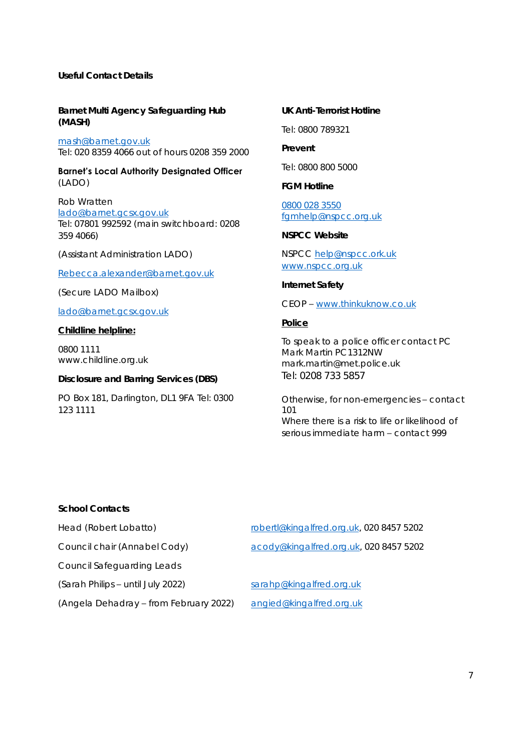### <span id="page-6-0"></span>**Useful Contact Details**

**Barnet Multi Agency Safeguarding Hub (MASH)**

[mash@barnet.gov.uk](mailto:mash@barnet.gov.uk) Tel: 020 8359 4066 out of hours 0208 359 2000

#### **Barnet's Local Authority Designated Officer**  (LADO)

Rob Wratten [lado@barnet.gcsx.gov.uk](mailto:lado@barnet.gcsx.gov.uk) Tel: 07801 992592 (main switchboard: 0208 359 4066)

(Assistant Administration LADO)

#### [Rebecca.alexander@barnet.gov.uk](mailto:Rebecca.alexander@barnet.gov.uk)

(Secure LADO Mailbox)

#### [lado@barnet.gcsx.gov.uk](mailto:lado@barnet.gcsx.gov.uk)

**Childline helpline:**

0800 1111 www.childline.org.uk

**Disclosure and Barring Services (DBS)**

PO Box 181, Darlington, DL1 9FA Tel: 0300 123 1111

**UK Anti-Terrorist Hotline**

Tel: 0800 789321

**Prevent** 

Tel: 0800 800 5000

**FGM Hotline**

[0800 028 3550](tel:08000283550) [fgmhelp@nspcc.org.uk](mailto:fgmhelp@nspcc.org.uk)

**NSPCC Website** 

NSPCC [help@nspcc.ork.uk](mailto:help@nspcc.ork.uk)  [www.nspcc.org.uk](http://www.nspcc.org.uk/)

**Internet Safety**

CEOP – [www.thinkuknow.co.uk](http://www.thinkuknow.co.uk/)

**Police**

To speak to a police officer contact PC Mark Martin PC1312NW [mark.martin@met.police.uk](mailto:mark.martin@met.police.uk) Tel: 0208 733 5857

Otherwise, for non-emergencies – contact 101 Where there is a risk to life or likelihood of serious immediate harm – contact 999

| <b>School Contacts</b>                 |                                          |
|----------------------------------------|------------------------------------------|
| Head (Robert Lobatto)                  | robertl@kingalfred.org.uk, 020 8457 5202 |
| Council chair (Annabel Cody)           | acody@kingalfred.org.uk, 020 8457 5202   |
| Council Safeguarding Leads             |                                          |
| (Sarah Philips - until July 2022)      | sarahp@kingalfred.org.uk                 |
| (Angela Dehadray – from February 2022) | angied@kingalfred.org.uk                 |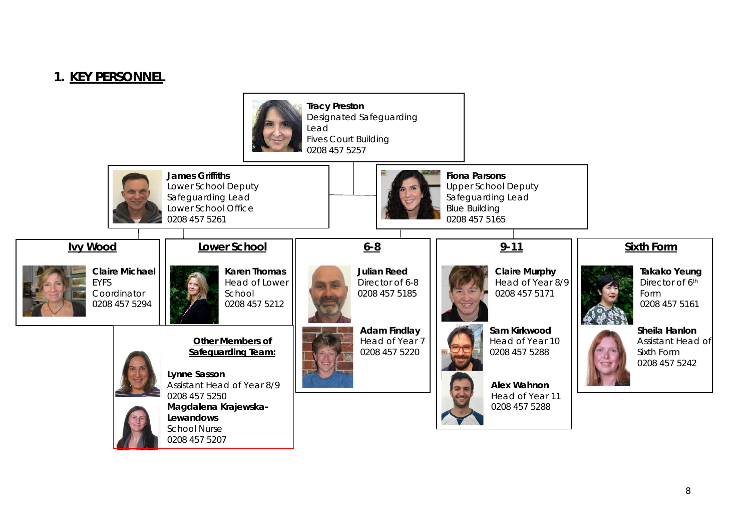### **1. KEY PERSONNEL**

<span id="page-7-0"></span>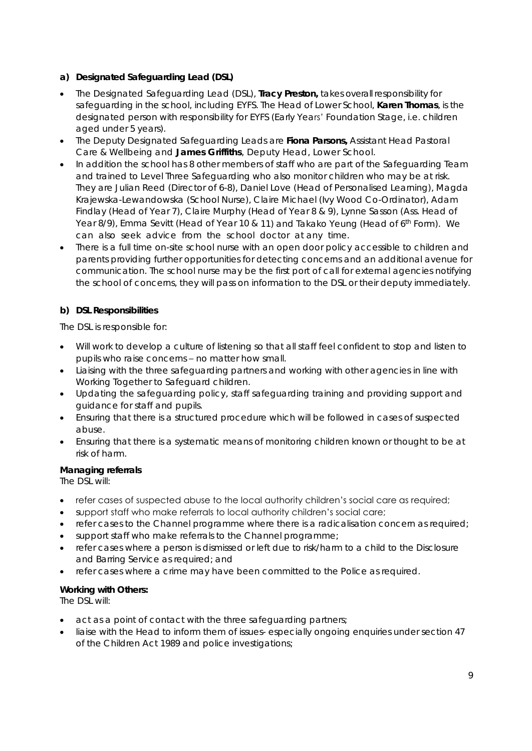- <span id="page-8-0"></span>**a) Designated Safeguarding Lead (DSL)**
- The Designated Safeguarding Lead (DSL), **Tracy Preston,** takes overall responsibility for safeguarding in the school, including EYFS. The Head of Lower School, **Karen Thomas**, is the designated person with responsibility for EYFS (Early Years' Foundation Stage, i.e. children aged under 5 years).
- The Deputy Designated Safeguarding Leads are **Fiona Parsons,** Assistant Head Pastoral Care & Wellbeing and **James Griffiths**, Deputy Head, Lower School.
- In addition the school has 8 other members of staff who are part of the Safeguarding Team and trained to Level Three Safeguarding who also monitor children who may be at risk. They are Julian Reed (Director of 6-8), Daniel Love (Head of Personalised Learning), Magda Krajewska-Lewandowska (School Nurse), Claire Michael (Ivy Wood Co-Ordinator), Adam Findlay (Head of Year 7), Claire Murphy (Head of Year 8 & 9), Lynne Sasson (Ass. Head of Year 8/9), Emma Sevitt (Head of Year 10 & 11) and Takako Yeung (Head of 6<sup>th</sup> Form). We can also seek advice from the school doctor at any time.
- There is a full time on-site school nurse with an open door policy accessible to children and parents providing further opportunities for detecting concerns and an additional avenue for communication. The school nurse may be the first port of call for external agencies notifying the school of concerns, they will pass on information to the DSL or their deputy immediately.

### <span id="page-8-1"></span>**b) DSL Responsibilities**

The DSL is responsible for:

- Will work to develop a culture of listening so that all staff feel confident to stop and listen to pupils who raise concerns – no matter how small.
- Liaising with the three safeguarding partners and working with other agencies in line with Working Together to Safeguard children.
- Updating the safeguarding policy, staff safeguarding training and providing support and guidance for staff and pupils.
- Ensuring that there is a structured procedure which will be followed in cases of suspected abuse.
- Ensuring that there is a systematic means of monitoring children known or thought to be at risk of harm.

<span id="page-8-2"></span>*Managing referrals* The DSL will:

- refer cases of suspected abuse to the local authority children's social care as required;
- support staff who make referrals to local authority children's social care;
- refer cases to the Channel programme where there is a radicalisation concern as required;
- support staff who make referrals to the Channel programme;
- refer cases where a person is dismissed or left due to risk/harm to a child to the Disclosure and Barring Service as required; and
- refer cases where a crime may have been committed to the Police as required.

<span id="page-8-3"></span>*Working with Others:* The DSL will:

- act as a point of contact with the three safeguarding partners;
- liaise with the Head to inform them of issues- especially ongoing enquiries under section 47 of the Children Act 1989 and police investigations;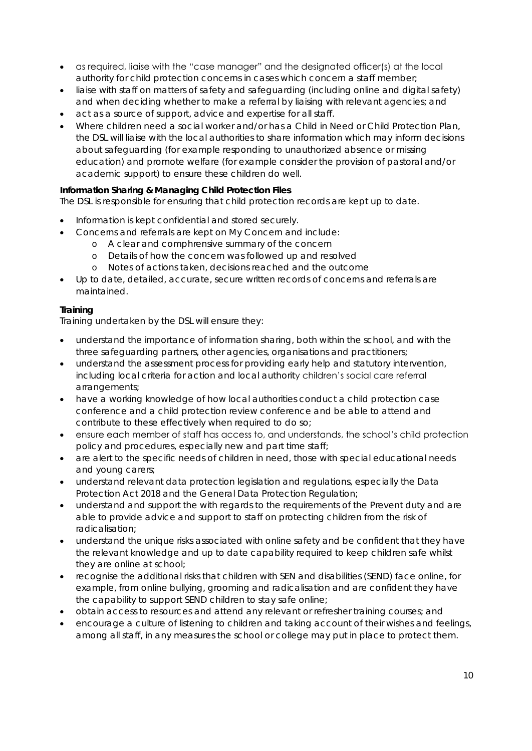- as required, liaise with the "case manager" and the designated officer(s) at the local authority for child protection concerns in cases which concern a staff member;
- liaise with staff on matters of safety and safeguarding (including online and digital safety) and when deciding whether to make a referral by liaising with relevant agencies; and
- act as a source of support, advice and expertise for all staff.
- Where children need a social worker and/or has a Child in Need or Child Protection Plan, the DSL will liaise with the local authorities to share information which may inform decisions about safeguarding (for example responding to unauthorized absence or missing education) and promote welfare (for example consider the provision of pastoral and/or academic support) to ensure these children do well.

### <span id="page-9-0"></span>*Information Sharing & Managing Child Protection Files* The DSL is responsible for ensuring that child protection records are kept up to date.

- Information is kept confidential and stored securely.
- Concerns and referrals are kept on My Concern and include:
	- o A clear and comphrensive summary of the concern
	- o Details of how the concern was followed up and resolved
	- o Notes of actions taken, decisions reached and the outcome
- Up to date, detailed, accurate, secure written records of concerns and referrals are maintained.

### <span id="page-9-1"></span>*Training*

Training undertaken by the DSL will ensure they:

- understand the importance of information sharing, both within the school, and with the three safeguarding partners, other agencies, organisations and practitioners;
- understand the assessment process for providing early help and statutory intervention, including local criteria for action and local authority children's social care referral arrangements;
- have a working knowledge of how local authorities conduct a child protection case conference and a child protection review conference and be able to attend and contribute to these effectively when required to do so;
- ensure each member of staff has access to, and understands, the school's child protection policy and procedures, especially new and part time staff;
- are alert to the specific needs of children in need, those with special educational needs and young carers;
- understand relevant data protection legislation and regulations, especially the Data Protection Act 2018 and the General Data Protection Regulation;
- understand and support the with regards to the requirements of the Prevent duty and are able to provide advice and support to staff on protecting children from the risk of radicalisation;
- understand the unique risks associated with online safety and be confident that they have the relevant knowledge and up to date capability required to keep children safe whilst they are online at school;
- recognise the additional risks that children with SEN and disabilities (SEND) face online, for example, from online bullying, grooming and radicalisation and are confident they have the capability to support SEND children to stay safe online;
- obtain access to resources and attend any relevant or refresher training courses; and
- encourage a culture of listening to children and taking account of their wishes and feelings, among all staff, in any measures the school or college may put in place to protect them.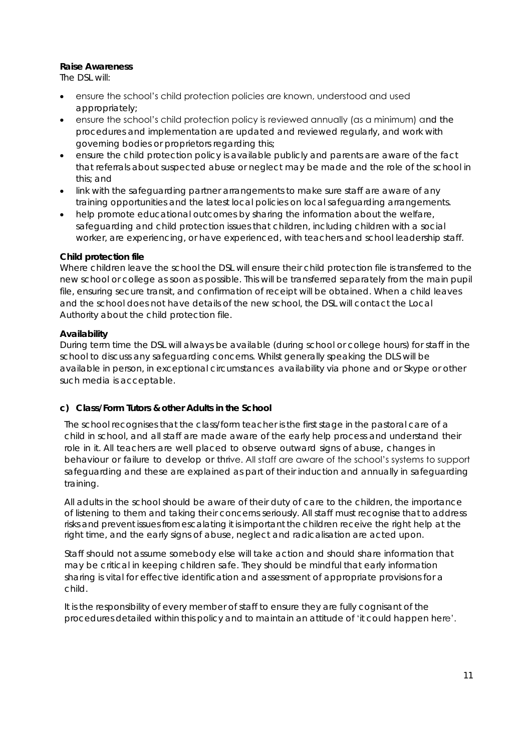<span id="page-10-0"></span>*Raise Awareness* The DSL will:

- ensure the school's child protection policies are known, understood and used appropriately;
- ensure the school's child protection policy is reviewed annually (as a minimum) and the procedures and implementation are updated and reviewed regularly, and work with governing bodies or proprietors regarding this;
- ensure the child protection policy is available publicly and parents are aware of the fact that referrals about suspected abuse or neglect may be made and the role of the school in this; and
- link with the safeguarding partner arrangements to make sure staff are aware of any training opportunities and the latest local policies on local safeguarding arrangements.
- help promote educational outcomes by sharing the information about the welfare, safeguarding and child protection issues that children, including children with a social worker, are experiencing, or have experienced, with teachers and school leadership staff.

### <span id="page-10-1"></span>*Child protection file*

Where children leave the school the DSL will ensure their child protection file is transferred to the new school or college as soon as possible. This will be transferred separately from the main pupil file, ensuring secure transit, and confirmation of receipt will be obtained. When a child leaves and the school does not have details of the new school, the DSL will contact the Local Authority about the child protection file.

### <span id="page-10-2"></span>*Availability*

During term time the DSL will always be available (during school or college hours) for staff in the school to discuss any safeguarding concerns. Whilst generally speaking the DLS will be available in person, in exceptional circumstances availability via phone and or Skype or other such media is acceptable.

### <span id="page-10-3"></span>**c) Class/Form Tutors & other Adults in the School**

The school recognises that the class/form teacher is the first stage in the pastoral care of a child in school, and all staff are made aware of the early help process and understand their role in it. All teachers are well placed to observe outward signs of abuse, changes in behaviour or failure to develop or thrive. All staff are aware of the school's systems to support safeguarding and these are explained as part of their induction and annually in safeguarding training.

All adults in the school should be aware of their duty of care to the children, the importance of listening to them and taking their concerns seriously. All staff must recognise that to address risks and prevent issues from escalating it is important the children receive the right help at the right time, and the early signs of abuse, neglect and radicalisation are acted upon.

Staff should not assume somebody else will take action and should share information that may be critical in keeping children safe. They should be mindful that early information sharing is vital for effective identification and assessment of appropriate provisions for a child.

It is the responsibility of every member of staff to ensure they are fully cognisant of the procedures detailed within this policy and to maintain an attitude of 'it could happen here'.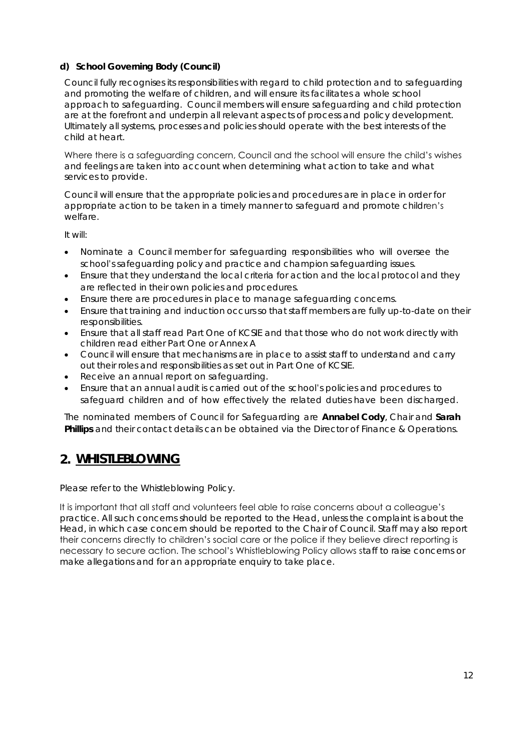### <span id="page-11-0"></span>**d) School Governing Body (Council)**

Council fully recognises its responsibilities with regard to child protection and to safeguarding and promoting the welfare of children, and will ensure its facilitates a whole school approach to safeguarding. Council members will ensure safeguarding and child protection are at the forefront and underpin all relevant aspects of process and policy development. Ultimately all systems, processes and policies should operate with the best interests of the child at heart.

Where there is a safeguarding concern, Council and the school will ensure the child's wishes and feelings are taken into account when determining what action to take and what services to provide.

Council will ensure that the appropriate policies and procedures are in place in order for appropriate action to be taken in a timely manner to safeguard and promote children's welfare.

It will:

- Nominate a Council member for safeguarding responsibilities who will oversee the school's safeguarding policy and practice and champion safeguarding issues.
- Ensure that they understand the local criteria for action and the local protocol and they are reflected in their own policies and procedures.
- Ensure there are procedures in place to manage safeguarding concerns.
- Ensure that training and induction occurs so that staff members are fully up-to-date on their responsibilities.
- Ensure that all staff read Part One of KCSIE and that those who do not work directly with children read either Part One or Annex A
- Council will ensure that mechanisms are in place to assist staff to understand and carry out their roles and responsibilities as set out in Part One of KCSIE.
- Receive an annual report on safeguarding.
- Ensure that an annual audit is carried out of the school's policies and procedures to safeguard children and of how effectively the related duties have been discharged.

The nominated members of Council for Safeguarding are **Annabel Cody**, Chair and **Sarah Phillips** and their contact details can be obtained via the Director of Finance & Operations.

### <span id="page-11-1"></span>**2. WHISTLEBLOWING**

*Please refer to the Whistleblowing Policy.* 

It is important that all staff and volunteers feel able to raise concerns about a colleague's practice. All such concerns should be reported to the Head, unless the complaint is about the Head, in which case concern should be reported to the Chair of Council. Staff may also report their concerns directly to children's social care or the police if they believe direct reporting is necessary to secure action. The school's Whistleblowing Policy allows staff to raise concerns or make allegations and for an appropriate enquiry to take place.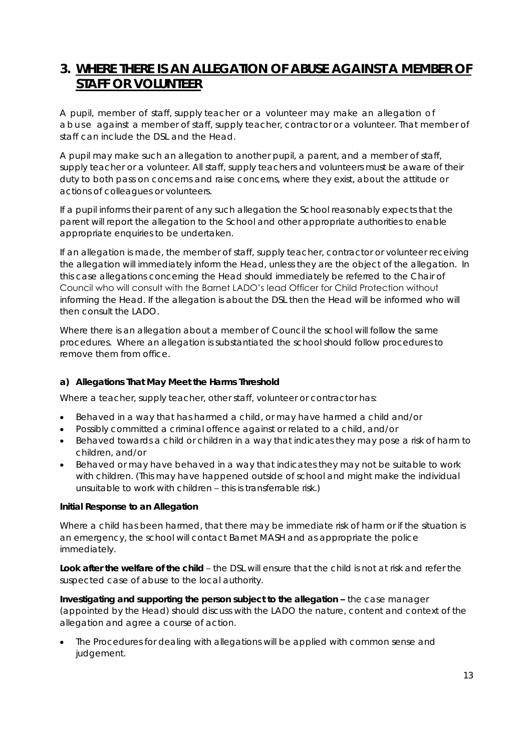### <span id="page-12-0"></span>**3. WHERE THERE IS AN ALLEGATION OF ABUSE AGAINST A MEMBER OF STAFF OR VOLUNTEER**

A pupil, member of staff, supply teacher or a volunteer may make an allegation of abuse against a member of staff, supply teacher, contractor or a volunteer. That member of staff can include the DSL and the Head.

A pupil may make such an allegation to another pupil, a parent, and a member of staff, supply teacher or a volunteer. All staff, supply teachers and volunteers must be aware of their duty to both pass on concerns and raise concerns, where they exist, about the attitude or actions of colleagues or volunteers.

If a pupil informs their parent of any such allegation the School reasonably expects that the parent will report the allegation to the School and other appropriate authorities to enable appropriate enquiries to be undertaken.

If an allegation is made, the member of staff, supply teacher, contractor or volunteer receiving the allegation will immediately inform the Head, unless they are the object of the allegation. In this case allegations concerning the Head should immediately be referred to the Chair of Council who will consult with the Barnet LADO's lead Officer for Child Protection without informing the Head. If the allegation is about the DSL then the Head will be informed who will then consult the LADO.

Where there is an allegation about a member of Council the school will follow the same procedures. Where an allegation is substantiated the school should follow procedures to remove them from office.

### <span id="page-12-1"></span>**a) Allegations That May Meet the Harms Threshold**

Where a teacher, supply teacher, other staff, volunteer or contractor has:

- Behaved in a way that has harmed a child, or may have harmed a child and/or
- Possibly committed a criminal offence against or related to a child, and/or
- Behaved towards a child or children in a way that indicates they may pose a risk of harm to children, and/or
- Behaved or may have behaved in a way that indicates they may not be suitable to work with children. (This may have happened outside of school and might make the individual unsuitable to work with children – this is transferrable risk.)

### **Initial Response to an Allegation**

Where a child has been harmed, that there may be immediate risk of harm or if the situation is an emergency, the school will contact Barnet MASH and as appropriate the police immediately.

**Look after the welfare of the child** – the DSL will ensure that the child is not at risk and refer the suspected case of abuse to the local authority.

Investigating and supporting the person subject to the allegation **-** the case manager (appointed by the Head) should discuss with the LADO the nature, content and context of the allegation and agree a course of action.

• The Procedures for dealing with allegations will be applied with common sense and judgement.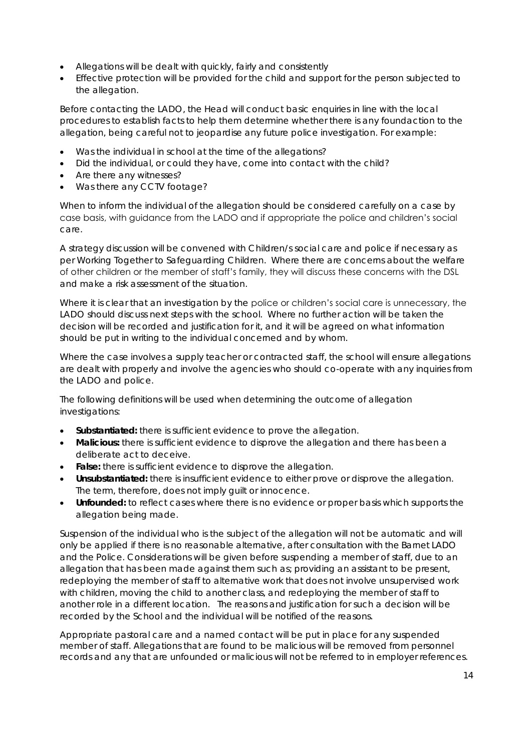- Allegations will be dealt with quickly, fairly and consistently
- Effective protection will be provided for the child and support for the person subjected to the allegation.

Before contacting the LADO, the Head will conduct basic enquiries in line with the local procedures to establish facts to help them determine whether there is any foundaction to the allegation, being careful not to jeopardise any future police investigation. For example:

- Was the individual in school at the time of the allegations?
- Did the individual, or could they have, come into contact with the child?
- Are there any witnesses?
- Was there any CCTV footage?

When to inform the individual of the allegation should be considered carefully on a case by case basis, with guidance from the LADO and if appropriate the police and children's social care.

A strategy discussion will be convened with Children/s social care and police if necessary as per Working Together to Safeguarding Children. Where there are concerns about the welfare of other children or the member of staff's family, they will discuss these concerns with the DSL and make a risk assessment of the situation.

Where it is clear that an investigation by the police or children's social care is unnecessary, the LADO should discuss next steps with the school. Where no further action will be taken the decision will be recorded and justification for it, and it will be agreed on what information should be put in writing to the individual concerned and by whom.

Where the case involves a supply teacher or contracted staff, the school will ensure allegations are dealt with properly and involve the agencies who should co-operate with any inquiries from the LADO and police.

The following definitions will be used when determining the outcome of allegation investigations:

- **Substantiated:** there is sufficient evidence to prove the allegation.
- **Malicious:** there is sufficient evidence to disprove the allegation and there has been a deliberate act to deceive.
- **False:** there is sufficient evidence to disprove the allegation.
- **Unsubstantiated:** there is insufficient evidence to either prove or disprove the allegation. The term, therefore, does not imply guilt or innocence.
- **Unfounded:** to reflect cases where there is no evidence or proper basis which supports the allegation being made.

Suspension of the individual who is the subject of the allegation will not be automatic and will only be applied if there is no reasonable alternative, after consultation with the Barnet LADO and the Police. Considerations will be given before suspending a member of staff, due to an allegation that has been made against them such as; providing an assistant to be present, redeploying the member of staff to alternative work that does not involve unsupervised work with children, moving the child to another class, and redeploying the member of staff to another role in a different location. The reasons and justification for such a decision will be recorded by the School and the individual will be notified of the reasons.

Appropriate pastoral care and a named contact will be put in place for any suspended member of staff. Allegations that are found to be malicious will be removed from personnel records and any that are unfounded or malicious will not be referred to in employer references.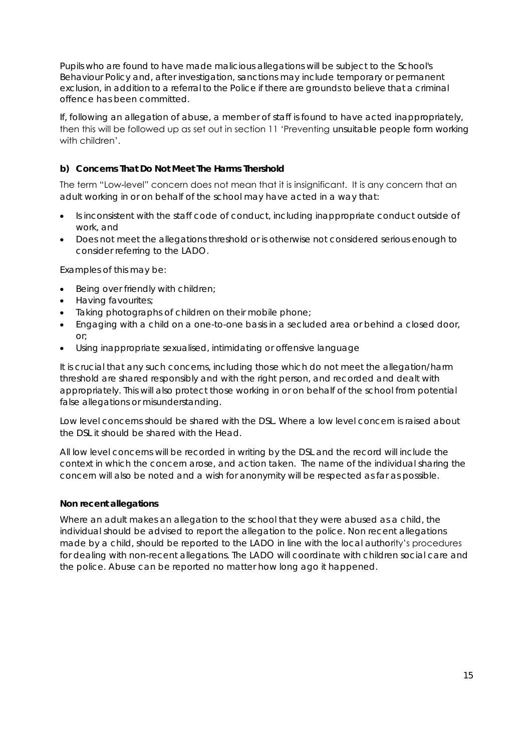Pupils who are found to have made malicious allegations will be subject to the School's Behaviour Policy and, after investigation, sanctions may include temporary or permanent exclusion, in addition to a referral to the Police if there are grounds to believe that a criminal offence has been committed.

If, following an allegation of abuse, a member of staff is found to have acted inappropriately, then this will be followed up as set out in section 11 'Preventing unsuitable people form working with children'.

### <span id="page-14-0"></span>**b) Concerns That Do Not Meet The Harms Thershold**

The term "Low-level" concern does not mean that it is insignificant. It is any concern that an adult working in or on behalf of the school may have acted in a way that:

- Is inconsistent with the staff code of conduct, including inappropriate conduct outside of work, and
- Does not meet the allegations threshold or is otherwise not considered serious enough to consider referring to the LADO.

Examples of this may be:

- Being over friendly with children;
- Having favourites;
- Taking photographs of children on their mobile phone;
- Engaging with a child on a one-to-one basis in a secluded area or behind a closed door, or;
- Using inappropriate sexualised, intimidating or offensive language

It is crucial that any such concerns, including those which do not meet the allegation/harm threshold are shared responsibly and with the right person, and recorded and dealt with appropriately. This will also protect those working in or on behalf of the school from potential false allegations or misunderstanding.

Low level concerns should be shared with the DSL. Where a low level concern is raised about the DSL it should be shared with the Head.

All low level concerns will be recorded in writing by the DSL and the record will include the context in which the concern arose, and action taken. The name of the individual sharing the concern will also be noted and a wish for anonymity will be respected as far as possible.

### <span id="page-14-1"></span>**Non recent allegations**

Where an adult makes an allegation to the school that they were abused as a child, the individual should be advised to report the allegation to the police. Non recent allegations made by a child, should be reported to the LADO in line with the local authority's procedures for dealing with non-recent allegations. The LADO will coordinate with children social care and the police. Abuse can be reported no matter how long ago it happened.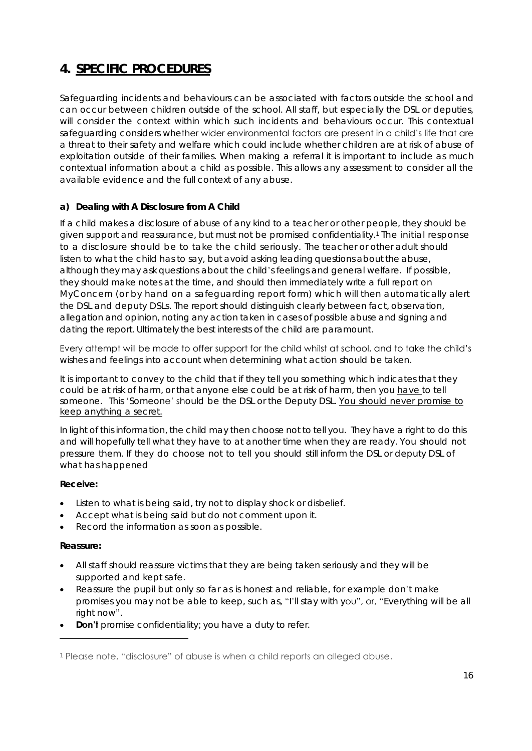# <span id="page-15-0"></span>**4. SPECIFIC PROCEDURES**

Safeguarding incidents and behaviours can be associated with factors outside the school and can occur between children outside of the school. All staff, but especially the DSL or deputies, will consider the context within which such incidents and behaviours occur. This contextual safeguarding considers whether wider environmental factors are present in a child's life that are a threat to their safety and welfare which could include whether children are at risk of abuse of exploitation outside of their families. When making a referral it is important to include as much contextual information about a child as possible. This allows any assessment to consider all the available evidence and the full context of any abuse.

### <span id="page-15-1"></span>**a) Dealing with A Disclosure from A Child**

If a child makes a disclosure of abuse of any kind to a teacher or other people, they should be given support and reassurance, but must not be promised confidentiality. <sup>1</sup> The initial response to a disclosure should be to take the child seriously. The teacher or other adult should listen to what the child has to say, but avoid asking leading questions about the abuse, although they may ask questions about the child's feelings and general welfare. If possible, they should make notes at the time, and should then immediately write a full report on MyConcern (or by hand on a safeguarding report form) which will then automatically alert the DSL and deputy DSLs. The report should distinguish clearly between fact, observation, allegation and opinion, noting any action taken in cases of possible abuse and signing and dating the report. Ultimately the best interests of the child are paramount.

Every attempt will be made to offer support for the child whilst at school, and to take the child's wishes and feelings into account when determining what action should be taken.

It is important to convey to the child that if they tell you something which indicates that they could be at risk of harm, or that anyone else could be at risk of harm, then you have to tell someone. This 'Someone' should be the DSL or the Deputy DSL. You should never promise to keep anything a secret.

In light of this information, the child may then choose not to tell you. They have a right to do this and will hopefully tell what they have to at another time when they are ready. You should not pressure them. If they do choose not to tell you should still inform the DSL or deputy DSL of what has happened

### **Receive:**

- Listen to what is being said, try not to display shock or disbelief.
- Accept what is being said but do not comment upon it.
- Record the information as soon as possible.

### **Reassure:**

- All staff should reassure victims that they are being taken seriously and they will be supported and kept safe.
- Reassure the pupil but only so far as is honest and reliable, for example don't make promises you may not be able to keep, such as, "I'll stay with you", or, "Everything will be all right now".
- **Don't** promise confidentiality; you have a duty to refer.

<sup>1</sup> Please note, "disclosure" of abuse is when a child reports an alleged abuse.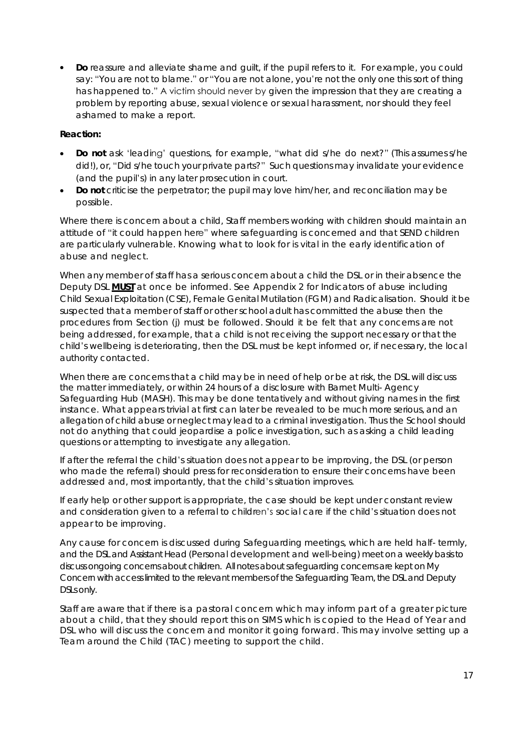• **Do** reassure and alleviate shame and guilt, if the pupil refers to it. For example, you could say: "You are not to blame." or "You are not alone, you're not the only one this sort of thing has happened to." A victim should never by given the impression that they are creating a problem by reporting abuse, sexual violence or sexual harassment, nor should they feel ashamed to make a report.

**Reaction:**

- **Do not** ask 'leading' questions, for example, "what did s/he do next?" (This assumes s/he did!), or, "Did s/he touch your private parts?" Such questions may invalidate your evidence (and the pupil's) in any later prosecution in court.
- **Do not** criticise the perpetrator; the pupil may love him/her, and reconciliation may be possible.

Where there is concern about a child, Staff members working with children should maintain an attitude of "it could happen here" where safeguarding is concerned and that SEND children are particularly vulnerable. Knowing what to look for is vital in the early identification of abuse and neglect.

When any member of staff has a serious concern about a child the DSL or in their absence the Deputy DSL **MUST** at once be informed. See Appendix 2 for Indicators of abuse including Child Sexual Exploitation (CSE), Female Genital Mutilation (FGM) and Radicalisation. Should it be suspected that a member of staff or other school adult has committed the abuse then the procedures from Section (j) must be followed. Should it be felt that any concerns are not being addressed, for example, that a child is not receiving the support necessary or that the child's wellbeing is deteriorating, then the DSL must be kept informed or, if necessary, the local authority contacted.

When there are concerns that a child may be in need of help or be at risk, the DSL will discuss the matter immediately, or within 24 hours of a disclosure with Barnet Multi- Agency Safeguarding Hub (MASH). This may be done tentatively and without giving names in the first instance. What appears trivial at first can later be revealed to be much more serious, and an allegation of child abuse or neglect may lead to a criminal investigation. Thus the School should not do anything that could jeopardise a police investigation, such as asking a child leading questions or attempting to investigate any allegation.

If after the referral the child's situation does not appear to be improving, the DSL (or person who made the referral) should press for reconsideration to ensure their concerns have been addressed and, most importantly, that the child's situation improves.

If early help or other support is appropriate, the case should be kept under constant review and consideration given to a referral to children's social care if the child's situation does not appear to be improving.

Any cause for concern is discussed during Safeguarding meetings, which are held half- termly, and the DSL and Assistant Head (Personal development and well-being) meet on a weekly basis to discuss ongoing concerns about children. All notes about safeguarding concerns are kept on My Concern with access limited to the relevant members of the Safeguarding Team, the DSL and Deputy DSLs only.

Staff are aware that if there is a pastoral concern which may inform part of a greater picture about a child, that they should report this on SIMS which is copied to the Head of Year and DSL who will discuss the concern and monitor it going forward. This may involve setting up a Team around the Child (TAC) meeting to support the child.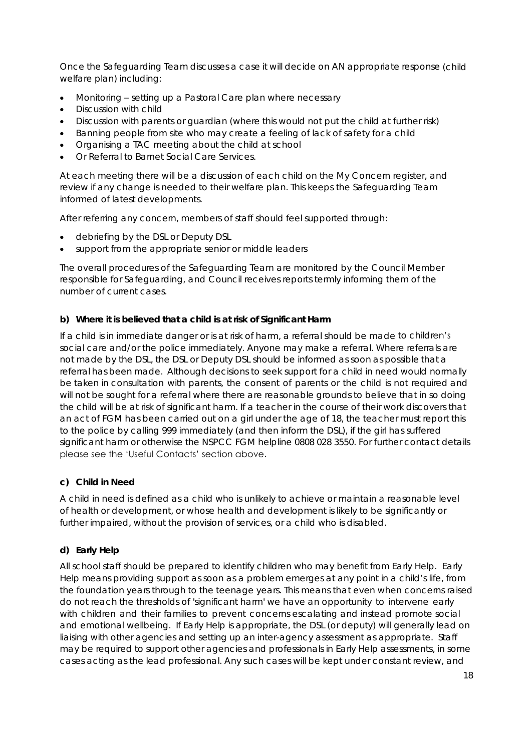Once the Safeguarding Team discusses a case it will decide on AN appropriate response (child welfare plan) including:

- Monitoring setting up a Pastoral Care plan where necessary
- Discussion with child
- Discussion with parents or guardian (where this would not put the child at further risk)
- Banning people from site who may create a feeling of lack of safety for a child
- Organising a TAC meeting about the child at school
- Or Referral to Barnet Social Care Services.

At each meeting there will be a discussion of each child on the My Concern register, and review if any change is needed to their welfare plan. This keeps the Safeguarding Team informed of latest developments.

After referring any concern, members of staff should feel supported through:

- debriefing by the DSL or Deputy DSL
- support from the appropriate senior or middle leaders

The overall procedures of the Safeguarding Team are monitored by the Council Member responsible for Safeguarding, and Council receives reports termly informing them of the number of current cases.

### <span id="page-17-0"></span>**b) Where it is believed that a child is at risk of Significant Harm**

If a child is in immediate danger or is at risk of harm, a referral should be made to children's social care and/or the police immediately. Anyone may make a referral. Where referrals are not made by the DSL, the DSL or Deputy DSL should be informed as soon as possible that a referral has been made. Although decisions to seek support for a child in need would normally be taken in consultation with parents, the consent of parents or the child is not required and will not be sought for a referral where there are reasonable grounds to believe that in so doing the child will be at risk of significant harm. If a teacher in the course of their work discovers that an act of FGM has been carried out on a girl under the age of 18, the teacher must report this to the police by calling 999 immediately (and then inform the DSL), if the girl has suffered significant harm or otherwise the NSPCC FGM helpline 0808 028 3550. For further contact details please see the 'Useful Contacts' section above.

### <span id="page-17-1"></span>**c) Child in Need**

A child in need is defined as a child who is unlikely to achieve or maintain a reasonable level of health or development, or whose health and development is likely to be significantly or further impaired, without the provision of services, or a child who is disabled.

### <span id="page-17-2"></span>**d) Early Help**

All school staff should be prepared to identify children who may benefit from Early Help. Early Help means providing support as soon as a problem emerges at any point in a child's life, from the foundation years through to the teenage years. This means that even when concerns raised do not reach the thresholds of 'significant harm' we have an opportunity to intervene early with children and their families to prevent concerns escalating and instead promote social and emotional wellbeing. If Early Help is appropriate, the DSL (or deputy) will generally lead on liaising with other agencies and setting up an inter-agency assessment as appropriate. Staff may be required to support other agencies and professionals in Early Help assessments, in some cases acting as the lead professional. Any such cases will be kept under constant review, and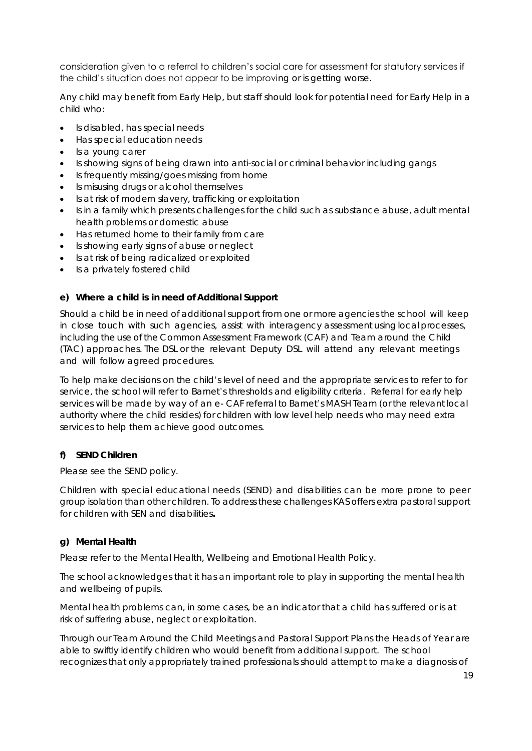consideration given to a referral to children's social care for assessment for statutory services if the child's situation does not appear to be improving or is getting worse.

Any child may benefit from Early Help, but staff should look for potential need for Early Help in a child who:

- Is disabled, has special needs
- Has special education needs
- Is a young carer
- Is showing signs of being drawn into anti-social or criminal behavior including gangs
- Is frequently missing/goes missing from home
- Is misusing drugs or alcohol themselves
- Is at risk of modern slavery, trafficking or exploitation
- Is in a family which presents challenges for the child such as substance abuse, adult mental health problems or domestic abuse
- Has returned home to their family from care
- Is showing early signs of abuse or neglect
- Is at risk of being radicalized or exploited
- Is a privately fostered child

### <span id="page-18-0"></span>**e) Where a child is in need of Additional Support**

Should a child be in need of additional support from one or more agencies the school will keep in close touch with such agencies, assist with interagency assessment using local processes, including the use of the Common Assessment Framework (CAF) and Team around the Child (TAC) approaches. The DSL or the relevant Deputy DSL will attend any relevant meetings and will follow agreed procedures.

To help make decisions on the child's level of need and the appropriate services to refer to for service, the school will refer to Barnet's thresholds and eligibility criteria. Referral for early help services will be made by way of an e- CAF referral to Barnet's MASH Team (or the relevant local authority where the child resides) for children with low level help needs who may need extra services to help them achieve good outcomes.

### <span id="page-18-1"></span>**f) SEND Children**

### *Please see the SEND policy.*

Children with special educational needs (SEND) and disabilities can be more prone to peer group isolation than other children. To address these challenges KAS offers extra pastoral support for children with SEN and disabilities**.** 

### <span id="page-18-2"></span>**g) Mental Health**

*Please refer to the Mental Health, Wellbeing and Emotional Health Policy.* 

The school acknowledges that it has an important role to play in supporting the mental health and wellbeing of pupils.

Mental health problems can, in some cases, be an indicator that a child has suffered or is at risk of suffering abuse, neglect or exploitation.

Through our Team Around the Child Meetings and Pastoral Support Plans the Heads of Year are able to swiftly identify children who would benefit from additional support. The school recognizes that only appropriately trained professionals should attempt to make a diagnosis of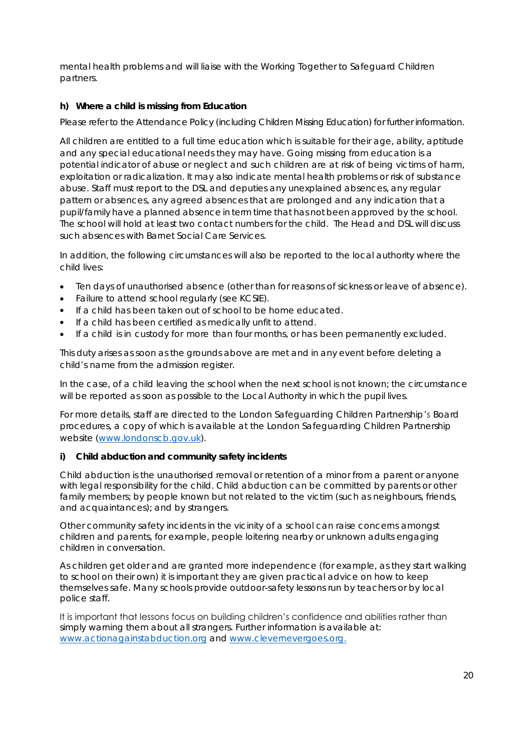mental health problems and will liaise with the Working Together to Safeguard Children partners.

### <span id="page-19-0"></span>**h) Where a child is missing from Education**

*Please refer to the Attendance Policy (including Children Missing Education) for further information.*

All children are entitled to a full time education which is suitable for their age, ability, aptitude and any special educational needs they may have. Going missing from education is a potential indicator of abuse or neglect and such children are at risk of being victims of harm, exploitation or radicalization. It may also indicate mental health problems or risk of substance abuse. Staff must report to the DSL and deputies any unexplained absences, any regular pattern or absences, any agreed absences that are prolonged and any indication that a pupil/family have a planned absence in term time that has not been approved by the school. The school will hold at least two contact numbers for the child. The Head and DSL will discuss such absences with Barnet Social Care Services.

In addition, the following circumstances will also be reported to the local authority where the child lives:

- Ten days of unauthorised absence (other than for reasons of sickness or leave of absence).
- Failure to attend school regularly (see KCSIE).
- If a child has been taken out of school to be home educated.
- If a child has been certified as medically unfit to attend.
- If a child is in custody for more than four months, or has been permanently excluded.

This duty arises as soon as the grounds above are met and in any event before deleting a child's name from the admission register.

In the case, of a child leaving the school when the next school is not known; the circumstance will be reported as soon as possible to the Local Authority in which the pupil lives.

For more details, staff are directed to the London Safeguarding Children Partnership's Board procedures, a copy of which is available at the London Safeguarding Children Partnership website [\(www.londonscb.gov.uk\)](http://www.londonscb.gov.uk/).

### **i) Child abduction and community safety incidents**

Child abduction is the unauthorised removal or retention of a minor from a parent or anyone with legal responsibility for the child. Child abduction can be committed by parents or other family members; by people known but not related to the victim (such as neighbours, friends, and acquaintances); and by strangers.

Other community safety incidents in the vicinity of a school can raise concerns amongst children and parents, for example, people loitering nearby or unknown adults engaging children in conversation.

As children get older and are granted more independence (for example, as they start walking to school on their own) it is important they are given practical advice on how to keep themselves safe. Many schools provide outdoor-safety lessons run by teachers or by local police staff.

It is important that lessons focus on building children's confidence and abilities rather than simply warning them about all strangers. Further information is available at: [www.actionagainstabduction.org](https://eur02.safelinks.protection.outlook.com/?url=http%3A%2F%2Fwww.actionagainstabduction.org%2F&data=04%7C01%7Ccarolinea%40kingalfred.org.uk%7C984c57e70a5a4486e78b08da0b87bda9%7Ccd233433b4c14a6494b22d5d026c6757%7C0%7C0%7C637834974871658555%7CUnknown%7CTWFpbGZsb3d8eyJWIjoiMC4wLjAwMDAiLCJQIjoiV2luMzIiLCJBTiI6Ik1haWwiLCJXVCI6Mn0%3D%7C3000&sdata=PBooYrA%2FrQ5y%2B4Phsn0vXWLXmRLPrgpjKkstOcP6OxU%3D&reserved=0) and [www.clevernevergoes.org.](http://www.clevernevergoes.org./)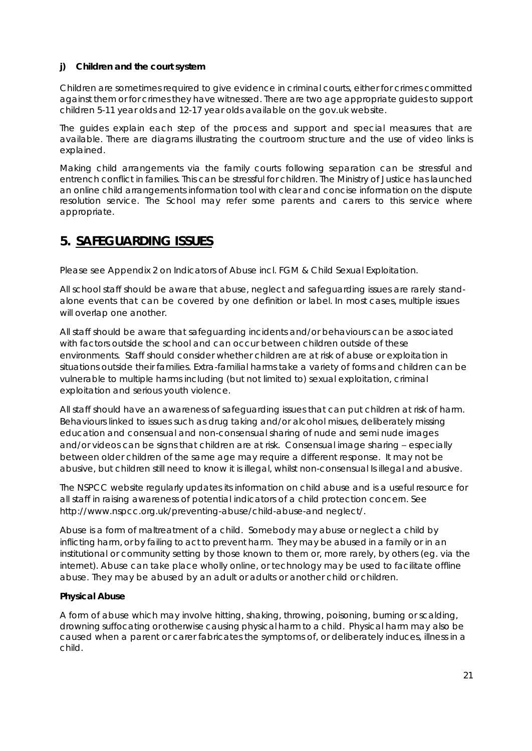### **j) Children and the court system**

Children are sometimes required to give evidence in criminal courts, either for crimes committed against them or for crimes they have witnessed. There are two age appropriate guides to support children 5-11 year olds and 12-17 year olds available on the gov.uk website.

The guides explain each step of the process and support and special measures that are available. There are diagrams illustrating the courtroom structure and the use of video links is explained.

Making child arrangements via the family courts following separation can be stressful and entrench conflict in families. This can be stressful for children. The Ministry of Justice has launched an online child arrangements information tool with clear and concise information on the dispute resolution service. The School may refer some parents and carers to this service where appropriate.

### <span id="page-20-0"></span>**5. SAFEGUARDING ISSUES**

*Please see Appendix 2 on Indicators of Abuse incl. FGM & Child Sexual Exploitation.*

All school staff should be aware that abuse, neglect and safeguarding issues are rarely standalone events that can be covered by one definition or label. In most cases, multiple issues will overlap one another.

All staff should be aware that safeguarding incidents and/or behaviours can be associated with factors outside the school and can occur between children outside of these environments. Staff should consider whether children are at risk of abuse or exploitation in situations outside their families. Extra-familial harms take a variety of forms and children can be vulnerable to multiple harms including (but not limited to) sexual exploitation, criminal exploitation and serious youth violence.

All staff should have an awareness of safeguarding issues that can put children at risk of harm. Behaviours linked to issues such as drug taking and/or alcohol misues, deliberately missing education and consensual and non-consensual sharing of nude and semi nude images and/or videos can be signs that children are at risk. Consensual image sharing – especially between older children of the same age may require a different response. It may not be abusive, but children still need to know it is illegal, whilst non-consensual Is illegal and abusive.

The NSPCC website regularly updates its information on child abuse and is a useful resource for all staff in raising awareness of potential indicators of a child protection concern. *See http:[//www.nspcc.org.uk/preventing-abuse/child-abuse-and](http://www.nspcc.org.uk/preventing-abuse/child-abuse-and) neglect/.*

Abuse is a form of maltreatment of a child. Somebody may abuse or neglect a child by inflicting harm, or by failing to act to prevent harm. They may be abused in a family or in an institutional or community setting by those known to them or, more rarely, by others (eg. via the internet). Abuse can take place wholly online, or technology may be used to facilitate offline abuse. They may be abused by an adult or adults or another child or children.

### **Physical Abuse**

A form of abuse which may involve hitting, shaking, throwing, poisoning, burning or scalding, drowning suffocating or otherwise causing physical harm to a child. Physical harm may also be caused when a parent or carer fabricates the symptoms of, or deliberately induces, illness in a child.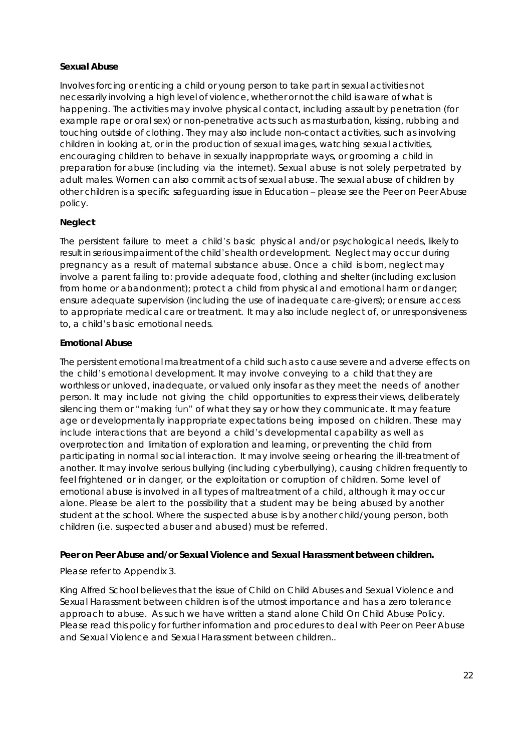#### **Sexual Abuse**

Involves forcing or enticing a child or young person to take part in sexual activities not necessarily involving a high level of violence, whether or not the child is aware of what is happening. The activities may involve physical contact, including assault by penetration (for example rape or oral sex) or non-penetrative acts such as masturbation, kissing, rubbing and touching outside of clothing. They may also include non-contact activities, such as involving children in looking at, or in the production of sexual images, watching sexual activities, encouraging children to behave in sexually inappropriate ways, or grooming a child in preparation for abuse (including via the internet). Sexual abuse is not solely perpetrated by adult males. Women can also commit acts of sexual abuse. The sexual abuse of children by other children is a specific safeguarding issue in Education – *please see the Peer on Peer Abuse policy.* 

### **Neglect**

The persistent failure to meet a child's basic physical and/or psychological needs, likely to result in serious impairment of the child's health or development. Neglect may occur during pregnancy as a result of maternal substance abuse. Once a child is born, neglect may involve a parent failing to: provide adequate food, clothing and shelter (including exclusion from home or abandonment); protect a child from physical and emotional harm or danger; ensure adequate supervision (including the use of inadequate care-givers); or ensure access to appropriate medical care or treatment. It may also include neglect of, or unresponsiveness to, a child's basic emotional needs.

### **Emotional Abuse**

The persistent emotional maltreatment of a child such as to cause severe and adverse effects on the child's emotional development. It may involve conveying to a child that they are worthless or unloved, inadequate, or valued only insofar as they meet the needs of another person. It may include not giving the child opportunities to express their views, deliberately silencing them or "making fun" of what they say or how they communicate. It may feature age or developmentally inappropriate expectations being imposed on children. These may include interactions that are beyond a child's developmental capability as well as overprotection and limitation of exploration and learning, or preventing the child from participating in normal social interaction. It may involve seeing or hearing the ill-treatment of another. It may involve serious bullying (including cyberbullying), causing children frequently to feel frightened or in danger, or the exploitation or corruption of children. Some level of emotional abuse is involved in all types of maltreatment of a child, although it may occur alone. Please be alert to the possibility that a student may be being abused by another student at the school. Where the suspected abuse is by another child/young person, both children (i.e. suspected abuser and abused) must be referred.

<span id="page-21-0"></span>**Peer on Peer Abuse and/or Sexual Violence and Sexual Harassment between children.** 

### *Please refer to Appendix 3.*

King Alfred School believes that the issue of Child on Child Abuses and Sexual Violence and Sexual Harassment between children is of the utmost importance and has a zero tolerance approach to abuse. As such we have written a stand alone Child On Child Abuse Policy. Please read this policy for further information and procedures to deal with Peer on Peer Abuse and Sexual Violence and Sexual Harassment between children..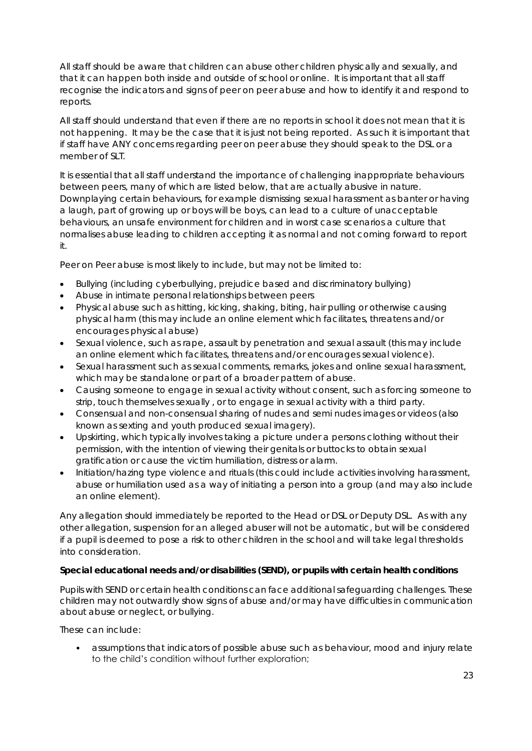All staff should be aware that children can abuse other children physically and sexually, and that it can happen both inside and outside of school or online. It is important that all staff recognise the indicators and signs of peer on peer abuse and how to identify it and respond to reports.

All staff should understand that even if there are no reports in school it does not mean that it is not happening. It may be the case that it is just not being reported. As such it is important that if staff have ANY concerns regarding peer on peer abuse they should speak to the DSL or a member of SLT

It is essential that all staff understand the importance of challenging inappropriate behaviours between peers, many of which are listed below, that are actually abusive in nature. Downplaying certain behaviours, for example dismissing sexual harassment as banter or having a laugh, part of growing up or boys will be boys, can lead to a culture of unacceptable behaviours, an unsafe environment for children and in worst case scenarios a culture that normalises abuse leading to children accepting it as normal and not coming forward to report it.

Peer on Peer abuse is most likely to include, but may not be limited to:

- Bullying (including cyberbullying, prejudice based and discriminatory bullying)
- Abuse in intimate personal relationships between peers
- Physical abuse such as hitting, kicking, shaking, biting, hair pulling or otherwise causing physical harm (this may include an online element which facilitates, threatens and/or encourages physical abuse)
- Sexual violence, such as rape, assault by penetration and sexual assault (this may include an online element which facilitates, threatens and/or encourages sexual violence).
- Sexual harassment such as sexual comments, remarks, jokes and online sexual harassment, which may be standalone or part of a broader pattern of abuse.
- Causing someone to engage in sexual activity without consent, such as forcing someone to strip, touch themselves sexually , or to engage in sexual activity with a third party.
- Consensual and non-consensual sharing of nudes and semi nudes images or videos (also known as sexting and youth produced sexual imagery).
- Upskirting, which typically involves taking a picture under a persons clothing without their permission, with the intention of viewing their genitals or buttocks to obtain sexual gratification or cause the victim humiliation, distress or alarm.
- Initiation/hazing type violence and rituals (this could include activities involving harassment, abuse or humiliation used as a way of initiating a person into a group (and may also include an online element).

Any allegation should immediately be reported to the Head or DSL or Deputy DSL. As with any other allegation, suspension for an alleged abuser will not be automatic, but will be considered if a pupil is deemed to pose a risk to other children in the school and will take legal thresholds into consideration.

**Special educational needs and/or disabilities (SEND), or pupils with certain health conditions**

Pupils with SEND or certain health conditions can face additional safeguarding challenges. These children may not outwardly show signs of abuse and/or may have difficulties in communication about abuse or neglect, or bullying.

These can include:

• assumptions that indicators of possible abuse such as behaviour, mood and injury relate to the child's condition without further exploration;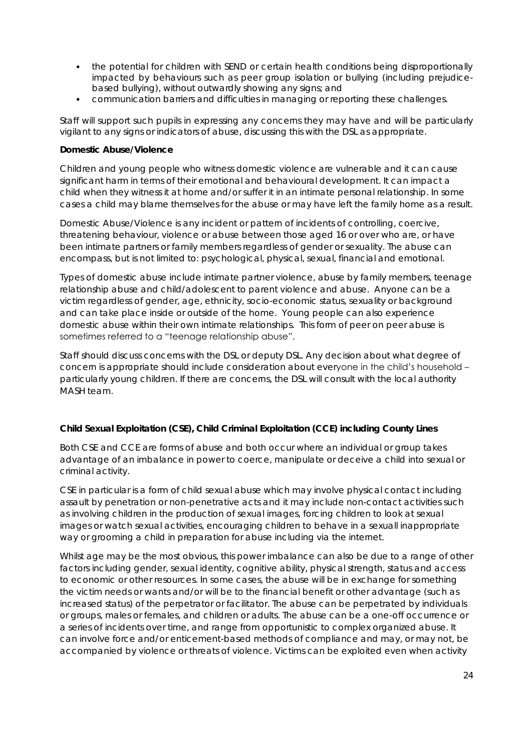- the potential for children with SEND or certain health conditions being disproportionally impacted by behaviours such as peer group isolation or bullying (including prejudicebased bullying), without outwardly showing any signs; and
- communication barriers and difficulties in managing or reporting these challenges.

Staff will support such pupils in expressing any concerns they may have and will be particularly vigilant to any signs or indicators of abuse, discussing this with the DSL as appropriate.

### **Domestic Abuse/Violence**

Children and young people who witness domestic violence are vulnerable and it can cause significant harm in terms of their emotional and behavioural development. It can impact a child when they witness it at home and/or suffer it in an intimate personal relationship. In some cases a child may blame themselves for the abuse or may have left the family home as a result.

Domestic Abuse/Violence is any incident or pattern of incidents of controlling, coercive, threatening behaviour, violence or abuse between those aged 16 or over who are, or have been intimate partners or family members regardless of gender or sexuality. The abuse can encompass, but is not limited to: psychological, physical, sexual, financial and emotional.

Types of domestic abuse include intimate partner violence, abuse by family members, teenage relationship abuse and child/adolescent to parent violence and abuse. Anyone can be a victim regardless of gender, age, ethnicity, socio-economic status, sexuality or background and can take place inside or outside of the home. Young people can also experience domestic abuse within their own intimate relationships. This form of peer on peer abuse is sometimes referred to a "teenage relationship abuse".

Staff should discuss concerns with the DSL or deputy DSL. Any decision about what degree of concern is appropriate should include consideration about everyone in the child's household – particularly young children. If there are concerns, the DSL will consult with the local authority MASH team.

### **Child Sexual Exploitation (CSE), Child Criminal Exploitation (CCE) including County Lines**

Both CSE and CCE are forms of abuse and both occur where an individual or group takes advantage of an imbalance in power to coerce, manipulate or deceive a child into sexual or criminal activity.

CSE in particular is a form of child sexual abuse which may involve physical contact including assault by penetration or non-penetrative acts and it may include non-contact activities such as involving children in the production of sexual images, forcing children to look at sexual images or watch sexual activities, encouraging children to behave in a sexuall inappropriate way or grooming a child in preparation for abuse including via the internet.

Whilst age may be the most obvious, this power imbalance can also be due to a range of other factors including gender, sexual identity, cognitive ability, physical strength, status and access to economic or other resources. In some cases, the abuse will be in exchange for something the victim needs or wants and/or will be to the financial benefit or other advantage (such as increased status) of the perpetrator or facilitator. The abuse can be perpetrated by individuals or groups, males or females, and children or adults. The abuse can be a one-off occurrence or a series of incidents over time, and range from opportunistic to complex organized abuse. It can involve force and/or enticement-based methods of compliance and may, or may not, be accompanied by violence or threats of violence. Victims can be exploited even when activity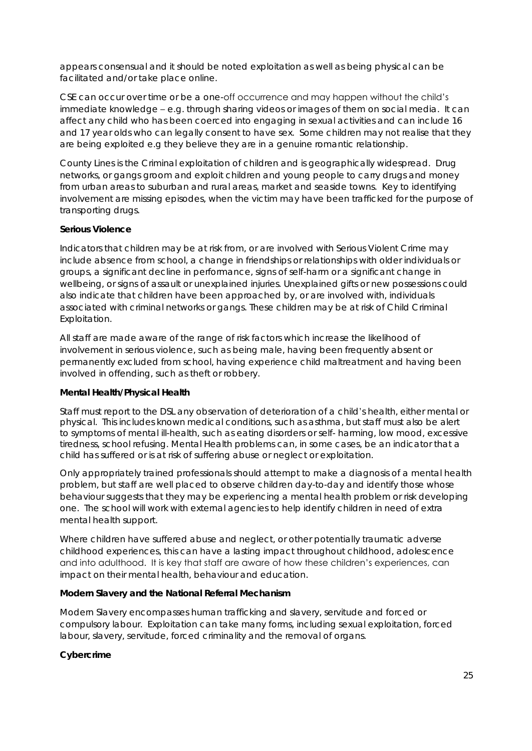appears consensual and it should be noted exploitation as well as being physical can be facilitated and/or take place online.

CSE can occur over time or be a one-off occurrence and may happen without the child's immediate knowledge – e.g. through sharing videos or images of them on social media. It can affect any child who has been coerced into engaging in sexual activities and can include 16 and 17 year olds who can legally consent to have sex. Some children may not realise that they are being exploited e.g they believe they are in a genuine romantic relationship.

County Lines is the Criminal exploitation of children and is geographically widespread. Drug networks, or gangs groom and exploit children and young people to carry drugs and money from urban areas to suburban and rural areas, market and seaside towns. Key to identifying involvement are missing episodes, when the victim may have been trafficked for the purpose of transporting drugs.

### **Serious Violence**

Indicators that children may be at risk from, or are involved with Serious Violent Crime may include absence from school, a change in friendships or relationships with older individuals or groups, a significant decline in performance, signs of self-harm or a significant change in wellbeing, or signs of assault or unexplained injuries. Unexplained gifts or new possessions could also indicate that children have been approached by, or are involved with, individuals associated with criminal networks or gangs. These children may be at risk of Child Criminal Exploitation.

All staff are made aware of the range of risk factors which increase the likelihood of involvement in serious violence, such as being male, having been frequently absent or permanently excluded from school, having experience child maltreatment and having been involved in offending, such as theft or robbery.

### **Mental Health/Physical Health**

Staff must report to the DSL any observation of deterioration of a child's health, either mental or physical. This includes known medical conditions, such as asthma, but staff must also be alert to symptoms of mental ill-health, such as eating disorders or self- harming, low mood, excessive tiredness, school refusing. Mental Health problems can, in some cases, be an indicator that a child has suffered or is at risk of suffering abuse or neglect or exploitation.

Only appropriately trained professionals should attempt to make a diagnosis of a mental health problem, but staff are well placed to observe children day-to-day and identify those whose behaviour suggests that they may be experiencing a mental health problem or risk developing one. The school will work with external agencies to help identify children in need of extra mental health support.

Where children have suffered abuse and neglect, or other potentially traumatic adverse childhood experiences, this can have a lasting impact throughout childhood, adolescence and into adulthood. It is key that staff are aware of how these children's experiences, can impact on their mental health, behaviour and education.

**Modern Slavery and the National Referral Mechanism**

Modern Slavery encompasses human trafficking and slavery, servitude and forced or compulsory labour. Exploitation can take many forms, including sexual exploitation, forced labour, slavery, servitude, forced criminality and the removal of organs.

**Cybercrime**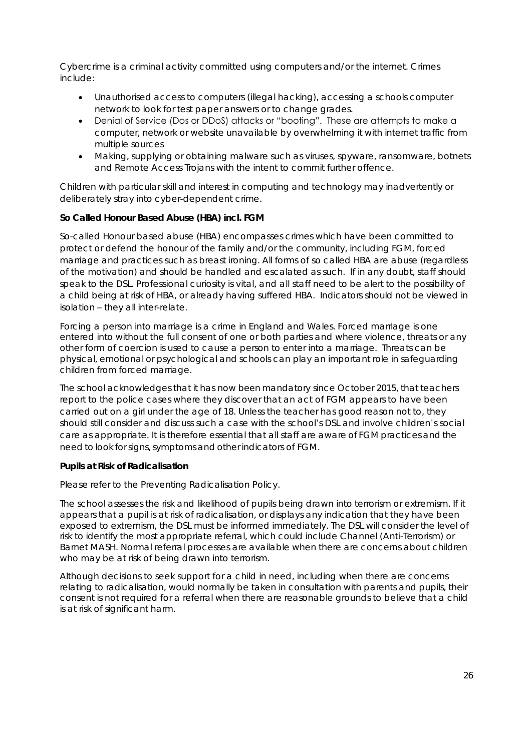Cybercrime is a criminal activity committed using computers and/or the internet. Crimes include:

- Unauthorised access to computers (illegal hacking), accessing a schools computer network to look for test paper answers or to change grades.
- Denial of Service (Dos or DDoS) attacks or "booting". These are attempts to make a computer, network or website unavailable by overwhelming it with internet traffic from multiple sources
- Making, supplying or obtaining malware such as viruses, spyware, ransomware, botnets and Remote Access Trojans with the intent to commit further offence.

Children with particular skill and interest in computing and technology may inadvertently or deliberately stray into cyber-dependent crime.

**So Called Honour Based Abuse (HBA) incl. FGM**

So-called Honour based abuse (HBA) encompasses crimes which have been committed to protect or defend the honour of the family and/or the community, including FGM, forced marriage and practices such as breast ironing. All forms of so called HBA are abuse (regardless of the motivation) and should be handled and escalated as such. If in any doubt, staff should speak to the DSL. Professional curiosity is vital, and all staff need to be alert to the possibility of a child being at risk of HBA, or already having suffered HBA. Indicators should not be viewed in isolation – they all inter-relate.

Forcing a person into marriage is a crime in England and Wales. Forced marriage is one entered into without the full consent of one or both parties and where violence, threats or any other form of coercion is used to cause a person to enter into a marriage. Threats can be physical, emotional or psychological and schools can play an important role in safeguarding children from forced marriage.

The school acknowledges that it has now been mandatory since October 2015, that teachers report to the police cases where they discover that an act of FGM appears to have been carried out on a girl under the age of 18. Unless the teacher has good reason not to, they should still consider and discuss such a case with the school's DSL and involve children's social care as appropriate. It is therefore essential that all staff are aware of FGM practices and the need to look for signs, symptoms and other indicators of FGM.

**Pupils at Risk of Radicalisation**

### *Please refer to the Preventing Radicalisation Policy.*

The school assesses the risk and likelihood of pupils being drawn into terrorism or extremism. If it appears that a pupil is at risk of radicalisation, or displays any indication that they have been exposed to extremism, the DSL must be informed immediately. The DSL will consider the level of risk to identify the most appropriate referral, which could include Channel (Anti-Terrorism) or Barnet MASH. Normal referral processes are available when there are concerns about children who may be at risk of being drawn into terrorism.

Although decisions to seek support for a child in need, including when there are concerns relating to radicalisation, would normally be taken in consultation with parents and pupils, their consent is not required for a referral when there are reasonable grounds to believe that a child is at risk of significant harm.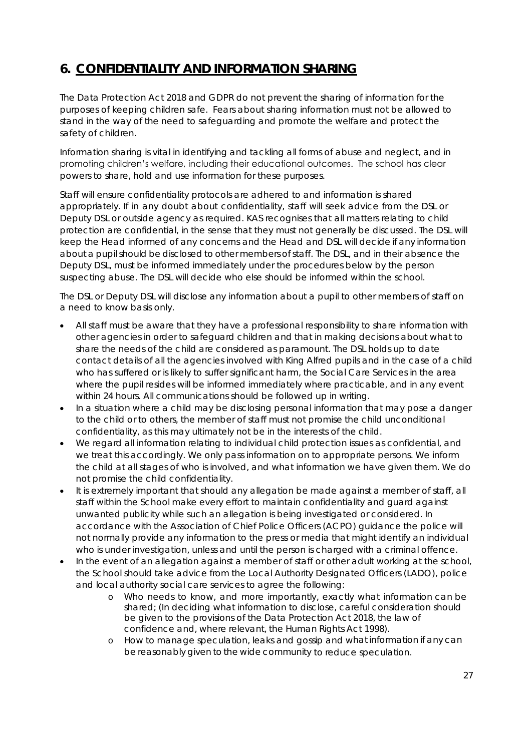# <span id="page-26-0"></span>**6. CONFIDENTIALITY AND INFORMATION SHARING**

*The Data Protection Act 2018 and GDPR do not prevent the sharing of information for the purposes of keeping children safe. Fears about sharing information must not be allowed to stand in the way of the need to safeguarding and promote the welfare and protect the safety of children.*

Information sharing is vital in identifying and tackling all forms of abuse and neglect, and in promoting children's welfare, including their educational outcomes. The school has clear powers to share, hold and use information for these purposes.

Staff will ensure confidentiality protocols are adhered to and information is shared appropriately. If in any doubt about confidentiality, staff will seek advice from the DSL or Deputy DSL or outside agency as required. KAS recognises that all matters relating to child protection are confidential, in the sense that they must not generally be discussed. The DSL will keep the Head informed of any concerns and the Head and DSL will decide if any information about a pupil should be disclosed to other members of staff. The DSL, and in their absence the Deputy DSL, must be informed immediately under the procedures below by the person suspecting abuse. The DSL will decide who else should be informed within the school.

The DSL or Deputy DSL will disclose any information about a pupil to other members of staff on a need to know basis only.

- All staff must be aware that they have a professional responsibility to share information with other agencies in order to safeguard children and that in making decisions about what to share the needs of the child are considered as paramount. The DSL holds up to date contact details of all the agencies involved with King Alfred pupils and in the case of a child who has suffered or is likely to suffer significant harm, the Social Care Services in the area where the pupil resides will be informed immediately where practicable, and in any event within 24 hours. All communications should be followed up in writing.
- In a situation where a child may be disclosing personal information that may pose a danger to the child or to others, the member of staff must not promise the child unconditional confidentiality, as this may ultimately not be in the interests of the child.
- We regard all information relating to individual child protection issues as confidential, and we treat this accordingly. We only pass information on to appropriate persons. We inform the child at all stages of who is involved, and what information we have given them. We do not promise the child confidentiality.
- It is extremely important that should any allegation be made against a member of staff, all staff within the School make every effort to maintain confidentiality and guard against unwanted publicity while such an allegation is being investigated or considered. In accordance with the Association of Chief Police Officers (ACPO) guidance the police will not normally provide any information to the press or media that might identify an individual who is under investigation, unless and until the person is charged with a criminal offence.
- In the event of an allegation against a member of staff or other adult working at the school, the School should take advice from the Local Authority Designated Officers (LADO), police and local authority social care services to agree the following:
	- o Who needs to know, and more importantly, exactly what information can be shared; (In deciding what information to disclose, careful consideration should be given to the provisions of the Data Protection Act 2018, the law of confidence and, where relevant, the Human Rights Act 1998).
	- o How to manage speculation, leaks and gossip and what information if any can be reasonably given to the wide community to reduce speculation.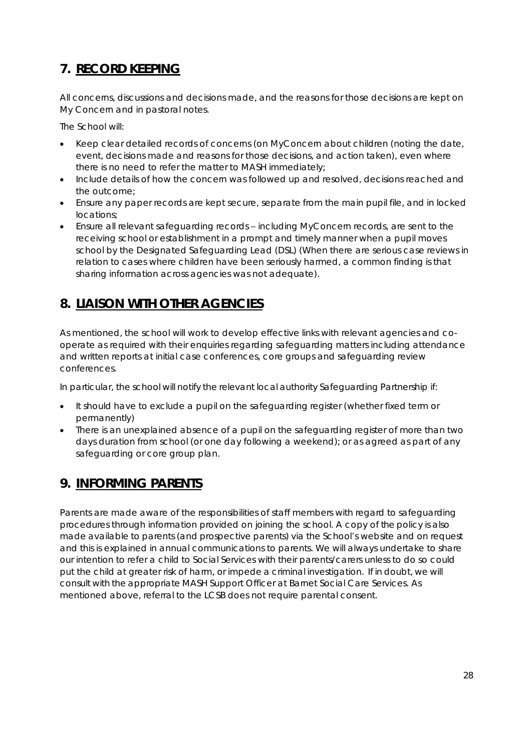# <span id="page-27-0"></span>**7. RECORD KEEPING**

All concerns, discussions and decisions made, and the reasons for those decisions are kept on My Concern and in pastoral notes.

The School will:

- Keep clear detailed records of concerns (on MyConcern about children (noting the date, event, decisions made and reasons for those decisions, and action taken), even where there is no need to refer the matter to MASH immediately;
- Include details of how the concern was followed up and resolved, decisions reached and the outcome;
- Ensure any paper records are kept secure, separate from the main pupil file, and in locked locations;
- Ensure all relevant safeguarding records including MyConcern records, are sent to the receiving school or establishment in a prompt and timely manner when a pupil moves school by the Designated Safeguarding Lead (DSL) (When there are serious case reviews in relation to cases where children have been seriously harmed, a common finding is that sharing information across agencies was not adequate).

# <span id="page-27-1"></span>**8. LIAISON WITH OTHER AGENCIES**

As mentioned, the school will work to develop effective links with relevant agencies and cooperate as required with their enquiries regarding safeguarding matters including attendance and written reports at initial case conferences, core groups and safeguarding review conferences.

In particular, the school will notify the relevant local authority Safeguarding Partnership if:

- It should have to exclude a pupil on the safeguarding register (whether fixed term or permanently)
- There is an unexplained absence of a pupil on the safeguarding register of more than two days duration from school (or one day following a weekend); or as agreed as part of any safeguarding or core group plan.

# <span id="page-27-2"></span>**9. INFORMING PARENTS**

Parents are made aware of the responsibilities of staff members with regard to safeguarding procedures through information provided on joining the school. A copy of the policy is also made available to parents (and prospective parents) via the School's website and on request and this is explained in annual communications to parents. We will always undertake to share our intention to refer a child to Social Services with their parents/carers unless to do so could put the child at greater risk of harm, or impede a criminal investigation. If in doubt, we will consult with the appropriate MASH Support Officer at Barnet Social Care Services. As mentioned above, referral to the LCSB does not require parental consent.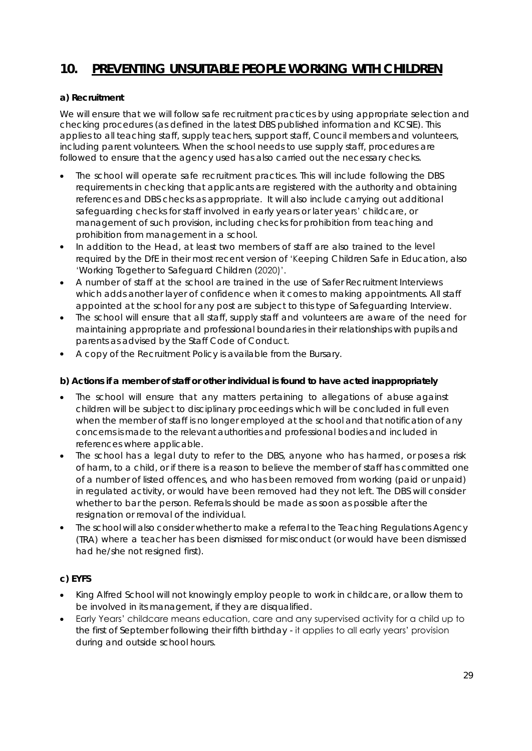# <span id="page-28-0"></span>**10. PREVENTING UNSUITABLE PEOPLE WORKING WITH CHILDREN**

### <span id="page-28-1"></span>**a) Recruitment**

We will ensure that we will follow safe recruitment practices by using appropriate selection and checking procedures (as defined in the latest DBS published information and KCSIE). This applies to all teaching staff, supply teachers, support staff, Council members and volunteers, including parent volunteers. When the school needs to use supply staff, procedures are followed to ensure that the agency used has also carried out the necessary checks.

- The school will operate safe recruitment practices. This will include following the DBS requirements in checking that applicants are registered with the authority and obtaining references and DBS checks as appropriate. It will also include carrying out additional safequarding checks for staff involved in early years or later years' childcare, or management of such provision, including checks for prohibition from teaching and prohibition from management in a school.
- In addition to the Head, at least two members of staff are also trained to the level required by the DfE in their most recent version of 'Keeping Children Safe in Education, also 'Working Together to Safeguard Children (2020)'.
- A number of staff at the school are trained in the use of Safer Recruitment Interviews which adds another layer of confidence when it comes to making appointments. All staff appointed at the school for any post are subject to this type of Safeguarding Interview.
- The school will ensure that all staff, supply staff and volunteers are aware of the need for maintaining appropriate and professional boundaries in their relationships with pupils and parents as advised by the Staff Code of Conduct.
- A copy of the Recruitment Policy is available from the Bursary.

<span id="page-28-2"></span>**b) Actions if a member of staff or other individual is found to have acted inappropriately**

- The school will ensure that any matters pertaining to allegations of abuse against children will be subject to disciplinary proceedings which will be concluded in full even when the member of staff is no longer employed at the school and that notification of any concerns is made to the relevant authorities and professional bodies and included in references where applicable.
- The school has a legal duty to refer to the DBS, anyone who has harmed, or poses a risk of harm, to a child, or if there is a reason to believe the member of staff has committed one of a number of listed offences, and who has been removed from working (paid or unpaid) in regulated activity, or would have been removed had they not left. The DBS will consider whether to bar the person. Referrals should be made as soon as possible after the resignation or removal of the individual.
- The school will also consider whether to make a referral to the Teaching Regulations Agency (TRA) where a teacher has been dismissed for misconduct (or would have been dismissed had he/she not resigned first).

### <span id="page-28-3"></span>**c) EYFS**

- King Alfred School will not knowingly employ people to work in childcare, or allow them to be involved in its management, if they are disqualified.
- Early Years' childcare means education, care and any supervised activity for a child up to the first of September following their fifth birthday - it applies to all early years' provision during and outside school hours.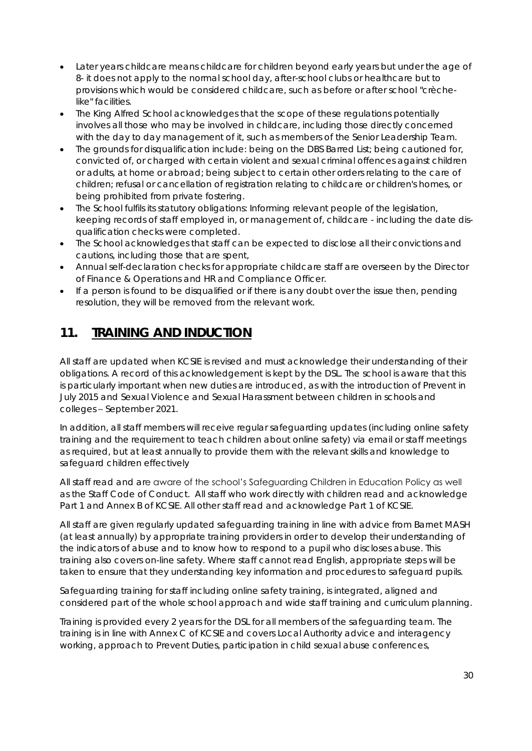- Later years childcare means childcare for children beyond early years but under the age of 8- it does not apply to the normal school day, after-school clubs or healthcare but to provisions which would be considered childcare, such as before or after school "crèchelike" facilities.
- The King Alfred School acknowledges that the scope of these regulations potentially involves all those who may be involved in childcare, including those directly concerned with the day to day management of it, such as members of the Senior Leadership Team.
- The grounds for disqualification include: being on the DBS Barred List; being cautioned for, convicted of, or charged with certain violent and sexual criminal offences against children or adults, at home or abroad; being subject to certain other orders relating to the care of children; refusal or cancellation of registration relating to childcare or children's homes, or being prohibited from private fostering.
- The School fulfils its statutory obligations: Informing relevant people of the legislation, keeping records of staff employed in, or management of, childcare - including the date disqualification checks were completed.
- The School acknowledges that staff can be expected to disclose all their convictions and cautions, including those that are spent,
- Annual self-declaration checks for appropriate childcare staff are overseen by the Director of Finance & Operations and HR and Compliance Officer.
- If a person is found to be disqualified or if there is any doubt over the issue then, pending resolution, they will be removed from the relevant work.

# <span id="page-29-0"></span>**11. TRAINING AND INDUCTION**

All staff are updated when KCSIE is revised and must acknowledge their understanding of their obligations. A record of this acknowledgement is kept by the DSL. The school is aware that this is particularly important when new duties are introduced, as with the introduction of Prevent in July 2015 and Sexual Violence and Sexual Harassment between children in schools and colleges – September 2021.

In addition, all staff members will receive regular safeguarding updates (including online safety training and the requirement to teach children about online safety) via email or staff meetings as required, but at least annually to provide them with the relevant skills and knowledge to safeguard children effectively

All staff read and are aware of the school's Safeguarding Children in Education Policy as well as the Staff Code of Conduct. All staff who work directly with children read and acknowledge Part 1 and Annex B of KCSIE. All other staff read and acknowledge Part 1 of KCSIE.

All staff are given regularly updated safeguarding training in line with advice from Barnet MASH (at least annually) by appropriate training providers in order to develop their understanding of the indicators of abuse and to know how to respond to a pupil who discloses abuse. This training also covers on-line safety. Where staff cannot read English, appropriate steps will be taken to ensure that they understanding key information and procedures to safeguard pupils.

Safeguarding training for staff including online safety training, is integrated, aligned and considered part of the whole school approach and wide staff training and curriculum planning.

Training is provided every 2 years for the DSL for all members of the safeguarding team. The training is in line with Annex C of KCSIE and covers Local Authority advice and interagency working, approach to Prevent Duties, participation in child sexual abuse conferences,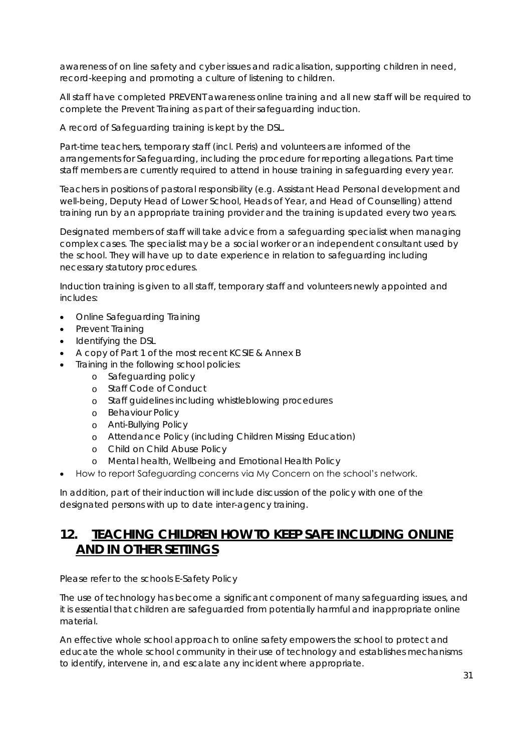awareness of on line safety and cyber issues and radicalisation, supporting children in need, record-keeping and promoting a culture of listening to children.

All staff have completed PREVENT awareness online training and all new staff will be required to complete the Prevent Training as part of their safeguarding induction.

A record of Safeguarding training is kept by the DSL.

Part-time teachers, temporary staff (incl. Peris) and volunteers are informed of the arrangements for Safeguarding, including the procedure for reporting allegations. Part time staff members are currently required to attend in house training in safeguarding every year.

Teachers in positions of pastoral responsibility (e.g. Assistant Head Personal development and well-being, Deputy Head of Lower School, Heads of Year, and Head of Counselling) attend training run by an appropriate training provider and the training is updated every two years.

Designated members of staff will take advice from a safeguarding specialist when managing complex cases. The specialist may be a social worker or an independent consultant used by the school. They will have up to date experience in relation to safeguarding including necessary statutory procedures.

Induction training is given to all staff, temporary staff and volunteers newly appointed and includes:

- Online Safeguarding Training
- Prevent Training
- Identifying the DSL
- A copy of Part 1 of the most recent KCSIE & Annex B
- Training in the following school policies:
	- o Safeguarding policy
	- o Staff Code of Conduct
	- o Staff guidelines including whistleblowing procedures
	- o Behaviour Policy
	- o Anti-Bullying Policy
	- o Attendance Policy (including Children Missing Education)
	- o Child on Child Abuse Policy
	- o Mental health, Wellbeing and Emotional Health Policy
- How to report Safeguarding concerns via My Concern on the school's network.

In addition, part of their induction will include discussion of the policy with one of the designated persons with up to date inter-agency training.

### <span id="page-30-0"></span>**12. TEACHING CHILDREN HOW TO KEEP SAFE INCLUDING ONLINE AND IN OTHER SETTINGS**

### *Please refer to the schools E-Safety Policy*

The use of technology has become a significant component of many safeguarding issues, and it is essential that children are safeguarded from potentially harmful and inappropriate online material.

An effective whole school approach to online safety empowers the school to protect and educate the whole school community in their use of technology and establishes mechanisms to identify, intervene in, and escalate any incident where appropriate.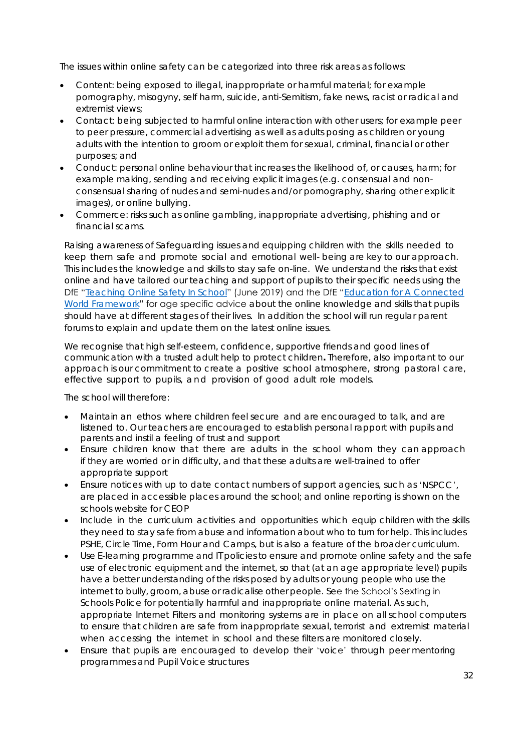The issues within online safety can be categorized into three risk areas as follows:

- Content: being exposed to illegal, inappropriate or harmful material; for example pornography, misogyny, self harm, suicide, anti-Semitism, fake news, racist or radical and extremist views;
- Contact: being subjected to harmful online interaction with other users; for example peer to peer pressure, commercial advertising as well as adults posing as children or young adults with the intention to groom or exploit them for sexual, criminal, financial or other purposes; and
- Conduct: personal online behaviour that increases the likelihood of, or causes, harm; for example making, sending and receiving explicit images (e.g. consensual and nonconsensual sharing of nudes and semi-nudes and/or pornography, sharing other explicit images), or online bullying.
- Commerce: risks such as online gambling, inappropriate advertising, phishing and or financial scams.

Raising awareness of Safeguarding issues and equipping children with the skills needed to keep them safe and promote social and emotional well- being are key to our approach. This includes the knowledge and skills to stay safe on-line. We understand the risks that exist online and have tailored our teaching and support of pupils to their specific needs using the DfE "[Teaching Online Safety In School](https://assets.publishing.service.gov.uk/government/uploads/system/uploads/attachment_data/file/811796/Teaching_online_safety_in_school.pdf)" (June 2019) and the DfE "[Education for A Connected](https://assets.publishing.service.gov.uk/government/uploads/system/uploads/attachment_data/file/759003/Education_for_a_connected_world_PDF.PDF)  [World Framework](https://assets.publishing.service.gov.uk/government/uploads/system/uploads/attachment_data/file/759003/Education_for_a_connected_world_PDF.PDF)" for age specific advice about the online knowledge and skills that pupils should have at different stages of their lives. In addition the school will run regular parent forums to explain and update them on the latest online issues.

We recognise that high self-esteem, confidence, supportive friends and good lines of communication with a trusted adult help to protect children**.** Therefore, also important to our approach is our commitment to create a positive school atmosphere, strong pastoral care, effective support to pupils, and provision of good adult role models.

The school will therefore:

- Maintain an ethos where children feel secure and are encouraged to talk, and are listened to. Our teachers are encouraged to establish personal rapport with pupils and parents and instil a feeling of trust and support
- Ensure children know that there are adults in the school whom they can approach if they are worried or in difficulty, and that these adults are well-trained to offer appropriate support
- Ensure notices with up to date contact numbers of support agencies, such as 'NSPCC'. are placed in accessible places around the school; and online reporting is shown on the schools website for CEOP
- Include in the curriculum activities and opportunities which equip children with the skills they need to stay safe from abuse and information about who to turn for help. This includes PSHE, Circle Time, Form Hour and Camps, but is also a feature of the broader curriculum.
- Use E-learning programme and IT policies to ensure and promote online safety and the safe use of electronic equipment and the internet, so that (at an age appropriate level) pupils have a better understanding of the risks posed by adults or young people who use the internet to bully, groom, abuse or radicalise other people. See the School's Sexting in Schools Police for potentially harmful and inappropriate online material. As such, appropriate Internet Filters and monitoring systems are in place on all school computers to ensure that children are safe from inappropriate sexual, terrorist and extremist material when accessing the internet in school and these filters are monitored closely.
- Ensure that pupils are encouraged to develop their 'voice' through peer mentoring programmes and Pupil Voice structures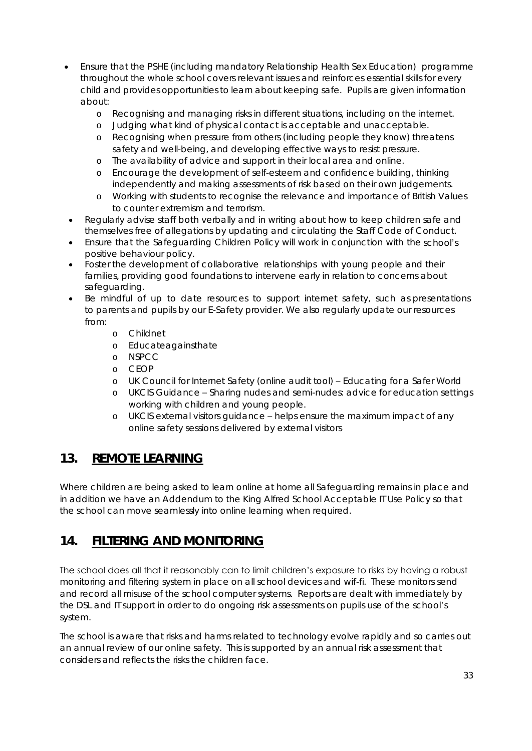- Ensure that the PSHE (including mandatory Relationship Health Sex Education) programme throughout the whole school covers relevant issues and reinforces essential skills for every child and provides opportunities to learn about keeping safe. Pupils are given information about:
	- o Recognising and managing risks in different situations, including on the internet.
	- o Judging what kind of physical contact is acceptable and unacceptable.
	- o Recognising when pressure from others (including people they know) threatens safety and well-being, and developing effective ways to resist pressure.
	- o The availability of advice and support in their local area and online.
	- o Encourage the development of self-esteem and confidence building, thinking independently and making assessments of risk based on their own judgements.
	- o Working with students to recognise the relevance and importance of British Values to counter extremism and terrorism.
- Regularly advise staff both verbally and in writing about how to keep children safe and themselves free of allegations by updating and circulating the Staff Code of Conduct.
- Ensure that the Safeguarding Children Policy will work in conjunction with the school's positive behaviour policy.
- Foster the development of collaborative relationships with young people and their families, providing good foundations to intervene early in relation to concerns about safeguarding.
- Be mindful of up to date resources to support internet safety, such as presentations to parents and pupils by our E-Safety provider. We also regularly update our resources from:
	- o Childnet
	- o Educateagainsthate
	- o NSPCC
	- o CEOP
	- o UK Council for Internet Safety (online audit tool) Educating for a Safer World
	- o UKCIS Guidance Sharing nudes and semi-nudes: advice for education settings working with children and young people.
	- o UKCIS external visitors guidance helps ensure the maximum impact of any online safety sessions delivered by external visitors

# <span id="page-32-0"></span>**13. REMOTE LEARNING**

Where children are being asked to learn online at home all Safeguarding remains in place and in addition we have an Addendum to the King Alfred School Acceptable IT Use Policy so that the school can move seamlessly into online learning when required.

### <span id="page-32-1"></span>**14. FILTERING AND MONITORING**

The school does all that it reasonably can to limit children's exposure to risks by having a robust monitoring and filtering system in place on all school devices and wif-fi. These monitors send and record all misuse of the school computer systems. Reports are dealt with immediately by the DSL and IT support in order to do ongoing risk assessments on pupils use of the school's system.

The school is aware that risks and harms related to technology evolve rapidly and so carries out an annual review of our online safety. This is supported by an annual risk assessment that considers and reflects the risks the children face.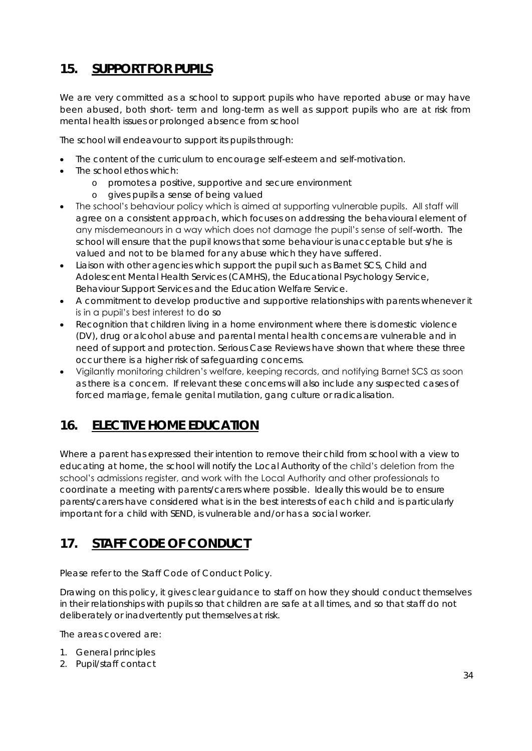# <span id="page-33-0"></span>**15. SUPPORT FOR PUPILS**

We are very committed as a school to support pupils who have reported abuse or may have been abused, both short- term and long-term as well as support pupils who are at risk from mental health issues or prolonged absence from school

The school will endeavour to support its pupils through:

- The content of the curriculum to encourage self-esteem and self-motivation.
- The school ethos which:
	- o promotes a positive, supportive and secure environment
	- o gives pupils a sense of being valued
- The school's behaviour policy which is aimed at supporting vulnerable pupils. All staff will agree on a consistent approach, which focuses on addressing the behavioural element of any misdemeanours in a way which does not damage the pupil's sense of self-worth. The school will ensure that the pupil knows that some behaviour is unacceptable but s/he is valued and not to be blamed for any abuse which they have suffered.
- Liaison with other agencies which support the pupil such as Barnet SCS, Child and Adolescent Mental Health Services (CAMHS), the Educational Psychology Service, Behaviour Support Services and the Education Welfare Service.
- A commitment to develop productive and supportive relationships with parents whenever it is in a pupil's best interest to do so
- Recognition that children living in a home environment where there is domestic violence (DV), drug or alcohol abuse and parental mental health concerns are vulnerable and in need of support and protection. Serious Case Reviews have shown that where these three occur there is a higher risk of safeguarding concerns.
- Vigilantly monitoring children's welfare, keeping records, and notifying Barnet SCS as soon as there is a concern. If relevant these concerns will also include any suspected cases of forced marriage, female genital mutilation, gang culture or radicalisation.

# <span id="page-33-1"></span>**16. ELECTIVE HOME EDUCATION**

Where a parent has expressed their intention to remove their child from school with a view to educating at home, the school will notify the Local Authority of the child's deletion from the school's admissions register, and work with the Local Authority and other professionals to coordinate a meeting with parents/carers where possible. Ideally this would be to ensure parents/carers have considered what is in the best interests of each child and is particularly important for a child with SEND, is vulnerable and/or has a social worker.

# <span id="page-33-2"></span>**17. STAFF CODE OF CONDUCT**

### *Please refer to the Staff Code of Conduct Policy.*

Drawing on this policy, it gives clear guidance to staff on how they should conduct themselves in their relationships with pupils so that children are safe at all times, and so that staff do not deliberately or inadvertently put themselves at risk.

The areas covered are:

- 1. General principles
- 2. Pupil/staff contact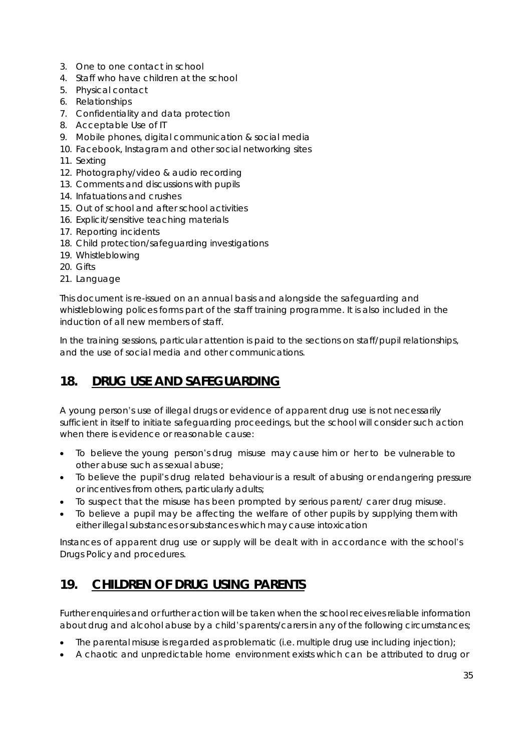- 3. One to one contact in school
- 4. Staff who have children at the school
- 5. Physical contact
- 6. Relationships
- 7. Confidentiality and data protection
- 8. Acceptable Use of IT
- 9. Mobile phones, digital communication & social media
- 10. Facebook, Instagram and other social networking sites
- 11. Sexting
- 12. Photography/video & audio recording
- 13. Comments and discussions with pupils
- 14. Infatuations and crushes
- 15. Out of school and after school activities
- 16. Explicit/sensitive teaching materials
- 17. Reporting incidents
- 18. Child protection/safeguarding investigations
- 19. Whistleblowing
- 20. Gifts
- 21. Language

This document is re-issued on an annual basis and alongside the safeguarding and whistleblowing polices forms part of the staff training programme. It is also included in the induction of all new members of staff.

In the training sessions, particular attention is paid to the sections on staff/pupil relationships, and the use of social media and other communications.

# <span id="page-34-0"></span>**18. DRUG USE AND SAFEGUARDING**

A young person's use of illegal drugs or evidence of apparent drug use is not necessarily sufficient in itself to initiate safeguarding proceedings, but the school will consider such action when there is evidence or reasonable cause:

- To believe the young person's drug misuse may cause him or her to be vulnerable to other abuse such as sexual abuse;
- To believe the pupil's drug related behaviour is a result of abusing or endangering pressure or incentives from others, particularly adults;
- To suspect that the misuse has been prompted by serious parent/ carer drug misuse.
- To believe a pupil may be affecting the welfare of other pupils by supplying them with either illegal substances or substances which may cause intoxication

Instances of apparent drug use or supply will be dealt with in accordance with the school's Drugs Policy and procedures.

# <span id="page-34-1"></span>**19. CHILDREN OF DRUG USING PARENTS**

Further enquiries and or further action will be taken when the school receives reliable information about drug and alcohol abuse by a child's parents/carers in any of the following circumstances;

- The parental misuse is regarded as problematic (i.e. multiple drug use including injection);
- A chaotic and unpredictable home environment exists which can be attributed to drug or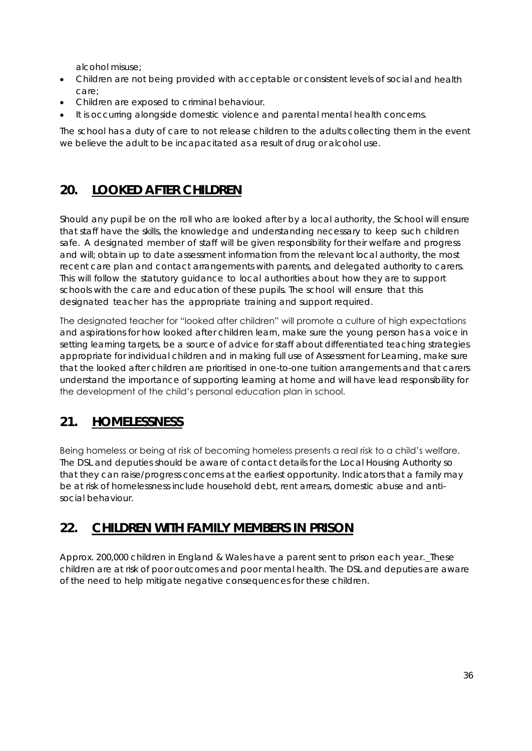alcohol misuse;

- Children are not being provided with acceptable or consistent levels of social and health care;
- Children are exposed to criminal behaviour.
- It is occurring alongside domestic violence and parental mental health concerns.

The school has a duty of care to not release children to the adults collecting them in the event we believe the adult to be incapacitated as a result of drug or alcohol use.

# <span id="page-35-0"></span>**20. LOOKED AFTER CHILDREN**

Should any pupil be on the roll who are looked after by a local authority, the School will ensure that staff have the skills, the knowledge and understanding necessary to keep such children safe. A designated member of staff will be given responsibility for their welfare and progress and will; obtain up to date assessment information from the relevant local authority, the most recent care plan and contact arrangements with parents, and delegated authority to carers. This will follow the statutory guidance to local authorities about how they are to support schools with the care and education of these pupils. The school will ensure that this designated teacher has the appropriate training and support required.

The designated teacher for "looked after children" will promote a culture of high expectations and aspirations for how looked after children learn, make sure the young person has a voice in setting learning targets, be a source of advice for staff about differentiated teaching strategies appropriate for individual children and in making full use of Assessment for Learning, make sure that the looked after children are prioritised in one-to-one tuition arrangements and that carers understand the importance of supporting learning at home and will have lead responsibility for the development of the child's personal education plan in school.

# <span id="page-35-1"></span>**21. HOMELESSNESS**

Being homeless or being at risk of becoming homeless presents a real risk to a child's welfare. The DSL and deputies should be aware of contact details for the Local Housing Authority so that they can raise/progress concerns at the earliest opportunity. Indicators that a family may be at risk of homelessness include household debt, rent arrears, domestic abuse and antisocial behaviour.

# <span id="page-35-2"></span>**22. CHILDREN WITH FAMILY MEMBERS IN PRISON**

Approx. 200,000 children in England & Wales have a parent sent to prison each year. These children are at risk of poor outcomes and poor mental health. The DSL and deputies are aware of the need to help mitigate negative consequences for these children.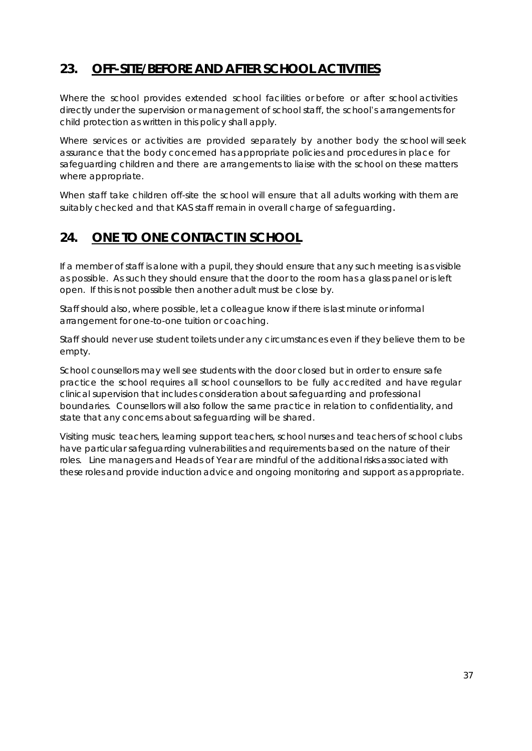# <span id="page-36-0"></span>**23. OFF-SITE/BEFORE AND AFTER SCHOOL ACTIVITIES**

Where the school provides extended school facilities or before or after school activities directly under the supervision or management of school staff, the school's arrangements for child protection as written in this policy shall apply.

Where services or activities are provided separately by another body the school will seek assurance that the body concerned has appropriate policies and procedures in place for safeguarding children and there are arrangements to liaise with the school on these matters where appropriate.

When staff take children off-site the school will ensure that all adults working with them are suitably checked and that KAS staff remain in overall charge of safeguarding.

# <span id="page-36-1"></span>**24. ONE TO ONE CONTACT IN SCHOOL**

If a member of staff is alone with a pupil, they should ensure that any such meeting is as visible as possible. As such they should ensure that the door to the room has a glass panel or is left open. If this is not possible then another adult must be close by.

Staff should also, where possible, let a colleague know if there is last minute or informal arrangement for one-to-one tuition or coaching.

Staff should never use student toilets under any circumstances even if they believe them to be empty.

School counsellors may well see students with the door closed but in order to ensure safe practice the school requires all school counsellors to be fully accredited and have regular clinical supervision that includes consideration about safeguarding and professional boundaries. Counsellors will also follow the same practice in relation to confidentiality, and state that any concerns about safeguarding will be shared.

Visiting music teachers, learning support teachers, school nurses and teachers of school clubs have particular safeguarding vulnerabilities and requirements based on the nature of their roles. Line managers and Heads of Year are mindful of the additional risks associated with these roles and provide induction advice and ongoing monitoring and support as appropriate.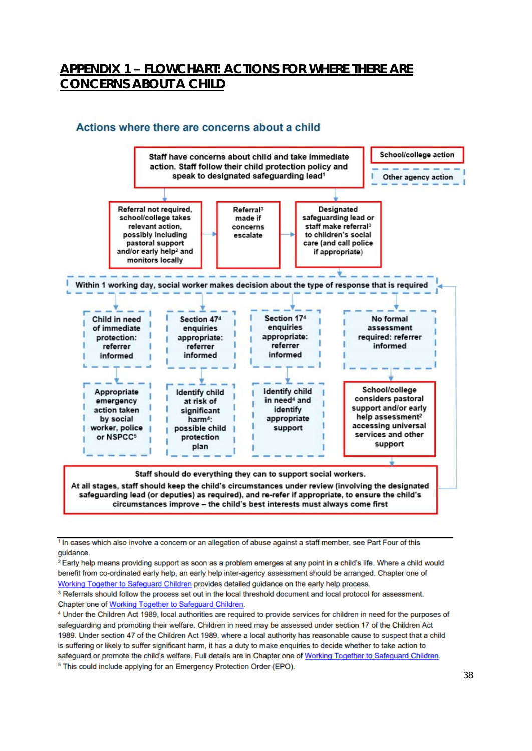### <span id="page-37-0"></span>**APPENDIX 1 – FLOWCHART: ACTIONS FOR WHERE THERE ARE CONCERNS ABOUT A CHILD**

### Actions where there are concerns about a child



 $<sup>1</sup>$  In cases which also involve a concern or an allegation of abuse against a staff member, see Part Four of this</sup> quidance.

<sup>&</sup>lt;sup>2</sup> Early help means providing support as soon as a problem emerges at any point in a child's life. Where a child would benefit from co-ordinated early help, an early help inter-agency assessment should be arranged. Chapter one of Working Together to Safeguard Children provides detailed guidance on the early help process.

<sup>&</sup>lt;sup>3</sup> Referrals should follow the process set out in the local threshold document and local protocol for assessment. Chapter one of Working Together to Safeguard Children.

<sup>4</sup> Under the Children Act 1989, local authorities are required to provide services for children in need for the purposes of safeguarding and promoting their welfare. Children in need may be assessed under section 17 of the Children Act 1989. Under section 47 of the Children Act 1989, where a local authority has reasonable cause to suspect that a child is suffering or likely to suffer significant harm, it has a duty to make enquiries to decide whether to take action to safeguard or promote the child's welfare. Full details are in Chapter one of Working Together to Safeguard Children. <sup>5</sup> This could include applying for an Emergency Protection Order (EPO).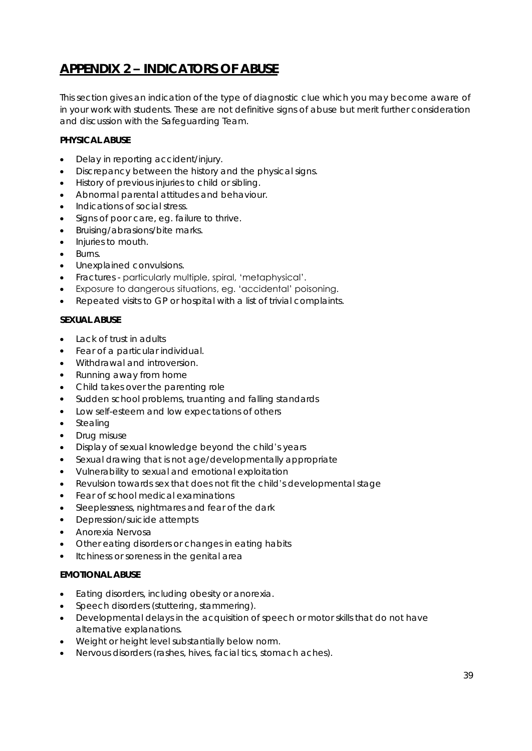# <span id="page-38-0"></span>**APPENDIX 2 – INDICATORS OF ABUSE**

This section gives an indication of the type of diagnostic clue which you may become aware of in your work with students. These are not definitive signs of abuse but merit further consideration and discussion with the Safeguarding Team.

**PHYSICAL ABUSE**

- Delay in reporting accident/injury.
- Discrepancy between the history and the physical signs.
- History of previous injuries to child or sibling.
- Abnormal parental attitudes and behaviour.
- Indications of social stress.
- Signs of poor care, eg. failure to thrive.
- Bruising/abrasions/bite marks.
- Injuries to mouth.
- Burns.
- Unexplained convulsions.
- Fractures particularly multiple, spiral, 'metaphysical'.
- Exposure to dangerous situations, eg. 'accidental' poisoning.
- Repeated visits to GP or hospital with a list of trivial complaints.

#### **SEXUAL ABUSE**

- Lack of trust in adults
- Fear of a particular individual.
- Withdrawal and introversion.
- Running away from home
- Child takes over the parenting role
- Sudden school problems, truanting and falling standards
- Low self-esteem and low expectations of others
- **Stealing**
- Drug misuse
- Display of sexual knowledge beyond the child's years
- Sexual drawing that is not age/developmentally appropriate
- Vulnerability to sexual and emotional exploitation
- Revulsion towards sex that does not fit the child's developmental stage
- Fear of school medical examinations
- Sleeplessness, nightmares and fear of the dark
- Depression/suicide attempts
- Anorexia Nervosa
- Other eating disorders or changes in eating habits
- Itchiness or soreness in the genital area

### **EMOTIONAL ABUSE**

- Eating disorders, including obesity or anorexia.
- Speech disorders (stuttering, stammering).
- Developmental delays in the acquisition of speech or motor skills that do not have alternative explanations.
- Weight or height level substantially below norm.
- Nervous disorders (rashes, hives, facial tics, stomach aches).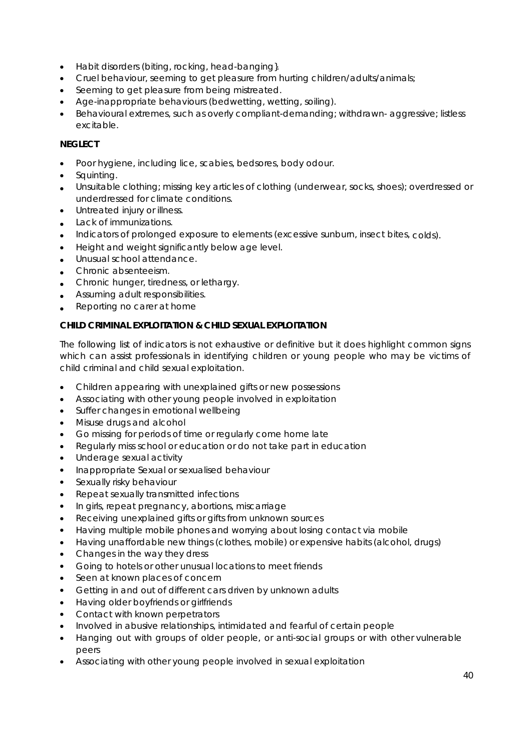- Habit disorders (biting, rocking, head-banging}.
- Cruel behaviour, seeming to get pleasure from hurting children/adults/animals;
- Seeming to get pleasure from being mistreated.
- Age-inappropriate behaviours (bedwetting, wetting, soiling).
- Behavioural extremes, such as overly compliant-demanding; withdrawn- aggressive; listless excitable.

### **NEGLECT**

- Poor hygiene, including lice, scabies, bedsores, body odour.
- Squinting.
- Unsuitable clothing; missing key articles of clothing (underwear, socks, shoes); overdressed or underdressed for climate conditions.
- Untreated injury or illness.
- Lack of immunizations.
- Indicators of prolonged exposure to elements (excessive sunburn, insect bites, colds).
- Height and weight significantly below age level.
- Unusual school attendance.
- Chronic absenteeism.
- **Chronic hunger, tiredness, or lethargy.**
- Assuming adult responsibilities.
- Reporting no carer at home

### **CHILD CRIMINAL EXPLOITATION & CHILD SEXUAL EXPLOITATION**

The following list of indicators is not exhaustive or definitive but it does highlight common signs which can assist professionals in identifying children or young people who may be victims of child criminal and child sexual exploitation.

- Children appearing with unexplained gifts or new possessions
- Associating with other young people involved in exploitation
- Suffer changes in emotional wellbeing
- Misuse drugs and alcohol
- Go missing for periods of time or regularly come home late
- Regularly miss school or education or do not take part in education
- Underage sexual activity
- Inappropriate Sexual or sexualised behaviour
- Sexually risky behaviour
- Repeat sexually transmitted infections
- In girls, repeat pregnancy, abortions, miscarriage
- Receiving unexplained gifts or gifts from unknown sources
- Having multiple mobile phones and worrying about losing contact via mobile
- Having unaffordable new things (clothes, mobile) or expensive habits (alcohol, drugs)
- Changes in the way they dress
- Going to hotels or other unusual locations to meet friends
- Seen at known places of concern
- Getting in and out of different cars driven by unknown adults
- Having older boyfriends or girlfriends
- Contact with known perpetrators
- Involved in abusive relationships, intimidated and fearful of certain people
- Hanging out with groups of older people, or anti-social groups or with other vulnerable peers
- Associating with other young people involved in sexual exploitation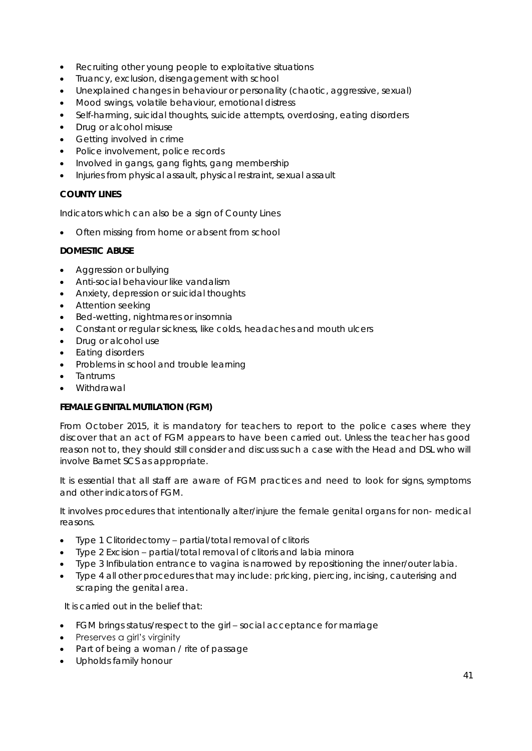- Recruiting other young people to exploitative situations
- Truancy, exclusion, disengagement with school
- Unexplained changes in behaviour or personality (chaotic, aggressive, sexual)
- Mood swings, volatile behaviour, emotional distress
- Self-harming, suicidal thoughts, suicide attempts, overdosing, eating disorders
- Drug or alcohol misuse
- Getting involved in crime
- Police involvement, police records
- Involved in gangs, gang fights, gang membership
- Injuries from physical assault, physical restraint, sexual assault

### **COUNTY LINES**

Indicators which can also be a sign of County Lines

• Often missing from home or absent from school

**DOMESTIC ABUSE**

- Aggression or bullying
- Anti-social behaviour like vandalism
- Anxiety, depression or suicidal thoughts
- Attention seeking
- Bed-wetting, nightmares or insomnia
- Constant or regular sickness, like colds, headaches and mouth ulcers
- Drug or alcohol use
- Eating disorders
- Problems in school and trouble learning
- Tantrums
- Withdrawal

### **FEMALE GENITAL MUTILATION (FGM)**

From October 2015, it is mandatory for teachers to report to the police cases where they discover that an act of FGM appears to have been carried out. Unless the teacher has good reason not to, they should still consider and discuss such a case with the Head and DSL who will involve Barnet SCS as appropriate.

It is essential that all staff are aware of FGM practices and need to look for signs, symptoms and other indicators of FGM.

It involves procedures that intentionally alter/injure the female genital organs for non- medical reasons.

- Type 1 Clitoridectomy partial/total removal of clitoris
- Type 2 Excision partial/total removal of clitoris and labia minora
- Type 3 Infibulation entrance to vagina is narrowed by repositioning the inner/outer labia.
- Type 4 all other procedures that may include: pricking, piercing, incising, cauterising and scraping the genital area.

It is carried out in the belief that:

- FGM brings status/respect to the girl social acceptance for marriage
- Preserves a girl's virginity
- Part of being a woman / rite of passage
- Upholds family honour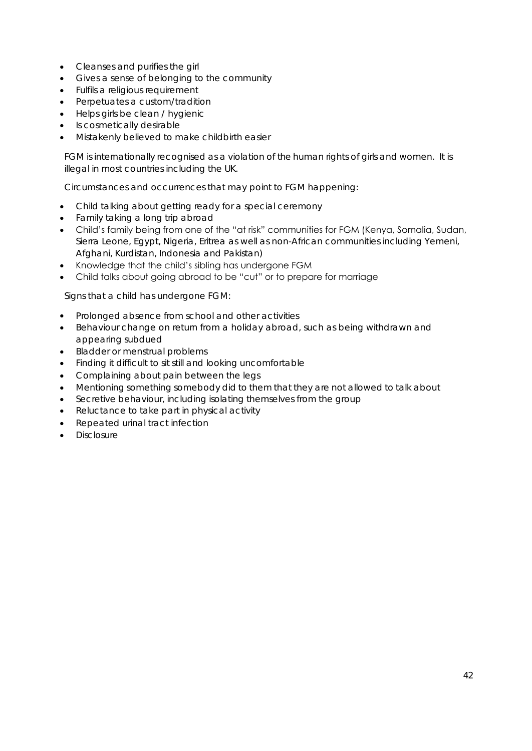- Cleanses and purifies the girl
- Gives a sense of belonging to the community
- Fulfils a religious requirement
- Perpetuates a custom/tradition
- Helps girls be clean / hygienic
- Is cosmetically desirable
- Mistakenly believed to make childbirth easier

FGM is internationally recognised as a violation of the human rights of girls and women. It is illegal in most countries including the UK.

Circumstances and occurrences that may point to FGM happening:

- Child talking about getting ready for a special ceremony
- Family taking a long trip abroad
- Child's family being from one of the "at risk" communities for FGM (Kenya, Somalia, Sudan, Sierra Leone, Egypt, Nigeria, Eritrea as well as non-African communities including Yemeni, Afghani, Kurdistan, Indonesia and Pakistan)
- Knowledge that the child's sibling has undergone FGM
- Child talks about going abroad to be "cut" or to prepare for marriage

Signs that a child has undergone FGM:

- Prolonged absence from school and other activities
- Behaviour change on return from a holiday abroad, such as being withdrawn and appearing subdued
- Bladder or menstrual problems
- Finding it difficult to sit still and looking uncomfortable
- Complaining about pain between the legs
- Mentioning something somebody did to them that they are not allowed to talk about
- Secretive behaviour, including isolating themselves from the group
- Reluctance to take part in physical activity
- Repeated urinal tract infection
- Disclosure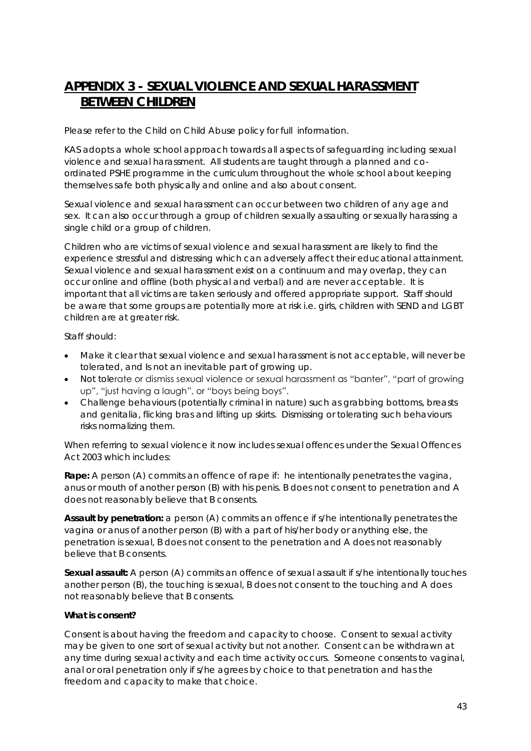# <span id="page-42-0"></span>**APPENDIX 3 - SEXUAL VIOLENCE AND SEXUAL HARASSMENT BETWEEN CHILDREN**

*Please refer to the Child on Child Abuse policy for full information.*

KAS adopts a whole school approach towards all aspects of safeguarding including sexual violence and sexual harassment. All students are taught through a planned and coordinated PSHE programme in the curriculum throughout the whole school about keeping themselves safe both physically and online and also about consent.

Sexual violence and sexual harassment can occur between two children of any age and sex. It can also occur through a group of children sexually assaulting or sexually harassing a single child or a group of children.

Children who are victims of sexual violence and sexual harassment are likely to find the experience stressful and distressing which can adversely affect their educational attainment. Sexual violence and sexual harassment exist on a continuum and may overlap, they can occur online and offline (both physical and verbal) and are never acceptable. It is important that all victims are taken seriously and offered appropriate support. Staff should be aware that some groups are potentially more at risk i.e. girls, children with SEND and LGBT children are at greater risk.

Staff should:

- Make it clear that sexual violence and sexual harassment is not acceptable, will never be tolerated, and Is not an inevitable part of growing up.
- Not tolerate or dismiss sexual violence or sexual harassment as "banter", "part of growing up", "just having a laugh", or "boys being boys".
- Challenge behaviours (potentially criminal in nature) such as grabbing bottoms, breasts and genitalia, flicking bras and lifting up skirts. Dismissing or tolerating such behaviours risks normalizing them.

When referring to sexual violence it now includes sexual offences under the Sexual Offences Act 2003 which includes:

**Rape:** A person (A) commits an offence of rape if: he intentionally penetrates the vagina, anus or mouth of another person (B) with his penis. B does not consent to penetration and A does not reasonably believe that B consents.

**Assault by penetration:** a person (A) commits an offence if s/he intentionally penetrates the vagina or anus of another person (B) with a part of his/her body or anything else, the penetration is sexual, B does not consent to the penetration and A does not reasonably believe that B consents.

**Sexual assault:** A person (A) commits an offence of sexual assault if s/he intentionally touches another person (B), the touching is sexual, B does not consent to the touching and A does not reasonably believe that B consents.

### **What is consent?**

Consent is about having the freedom and capacity to choose. Consent to sexual activity may be given to one sort of sexual activity but not another. Consent can be withdrawn at any time during sexual activity and each time activity occurs. Someone consents to vaginal, anal or oral penetration only if s/he agrees by choice to that penetration and has the freedom and capacity to make that choice.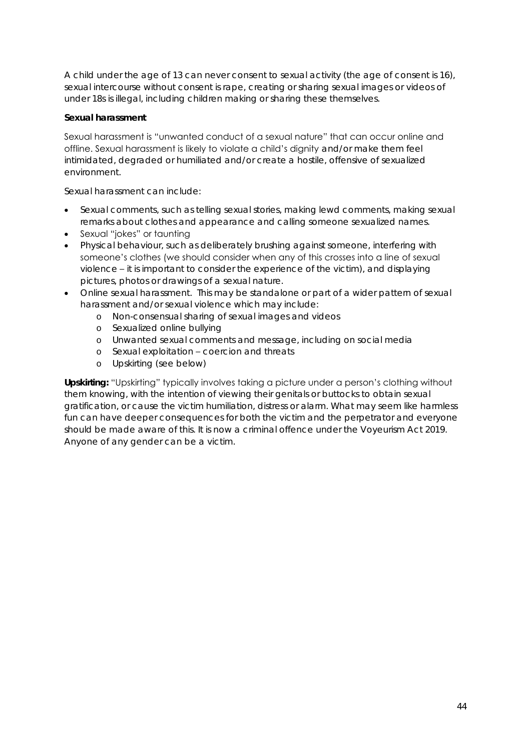A child under the age of 13 can never consent to sexual activity (the age of consent is 16), sexual intercourse without consent is rape, creating or sharing sexual images or videos of under 18s is illegal, including children making or sharing these themselves.

### **Sexual harassment**

Sexual harassment is "unwanted conduct of a sexual nature" that can occur online and offline. Sexual harassment is likely to violate a child's dignity and/or make them feel intimidated, degraded or humiliated and/or create a hostile, offensive of sexualized environment.

Sexual harassment can include:

- Sexual comments, such as telling sexual stories, making lewd comments, making sexual remarks about clothes and appearance and calling someone sexualized names.
- Sexual "jokes" or taunting
- Physical behaviour, such as deliberately brushing against someone, interfering with someone's clothes (we should consider when any of this crosses into a line of sexual violence – it is important to consider the experience of the victim), and displaying pictures, photos or drawings of a sexual nature.
- Online sexual harassment. This may be standalone or part of a wider pattern of sexual harassment and/or sexual violence which may include:
	- o Non-consensual sharing of sexual images and videos
	- o Sexualized online bullying
	- o Unwanted sexual comments and message, including on social media
	- o Sexual exploitation coercion and threats
	- o Upskirting (see below)

**Upskirting:** "Upskirting" typically involves taking a picture under a person's clothing without them knowing, with the intention of viewing their genitals or buttocks to obtain sexual gratification, or cause the victim humiliation, distress or alarm. What may seem like harmless fun can have deeper consequences for both the victim and the perpetrator and everyone should be made aware of this. It is now a criminal offence under the Voyeurism Act 2019. Anyone of any gender can be a victim.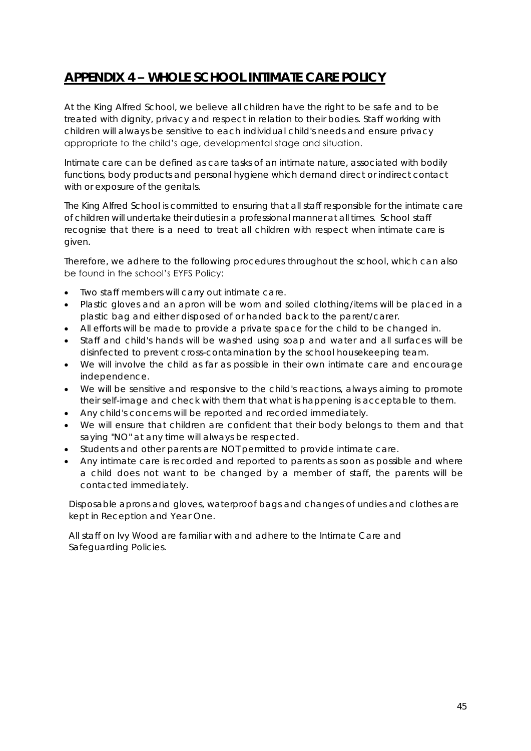### <span id="page-44-0"></span>**APPENDIX 4 – WHOLE SCHOOL INTIMATE CARE POLICY**

At the King Alfred School, we believe all children have the right to be safe and to be treated with dignity, privacy and respect in relation to their bodies. Staff working with children will always be sensitive to each individual child's needs and ensure privacy appropriate to the child's age, developmental stage and situation.

Intimate care can be defined as care tasks of an intimate nature, associated with bodily functions, body products and personal hygiene which demand direct or indirect contact with or exposure of the genitals.

The King Alfred School is committed to ensuring that all staff responsible for the intimate care of children will undertake their duties in a professional manner at all times. School staff recognise that there is a need to treat all children with respect when intimate care is given.

Therefore, we adhere to the following procedures throughout the school, which can also be found in the school's EYFS Policy:

- Two staff members will carry out intimate care.
- Plastic gloves and an apron will be worn and soiled clothing/items will be placed in a plastic bag and either disposed of or handed back to the parent/carer.
- All efforts will be made to provide a private space for the child to be changed in.
- Staff and child's hands will be washed using soap and water and all surfaces will be disinfected to prevent cross-contamination by the school housekeeping team.
- We will involve the child as far as possible in their own intimate care and encourage independence.
- We will be sensitive and responsive to the child's reactions, always aiming to promote their self-image and check with them that what is happening is acceptable to them.
- Any child's concerns will be reported and recorded immediately.
- We will ensure that children are confident that their body belongs to them and that saying "NO" at any time will always be respected.
- Students and other parents are NOT permitted to provide intimate care.
- Any intimate care is recorded and reported to parents as soon as possible and where a child does not want to be changed by a member of staff, the parents will be contacted immediately.

Disposable aprons and gloves, waterproof bags and changes of undies and clothes are kept in Reception and Year One.

All staff on Ivy Wood are familiar with and adhere to the Intimate Care and Safeguarding Policies.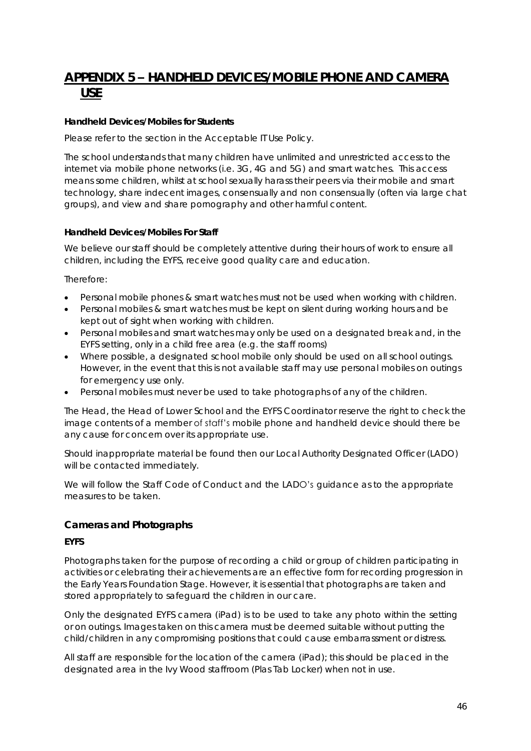# <span id="page-45-0"></span>**APPENDIX 5 – HANDHELD DEVICES/MOBILE PHONE AND CAMERA USE**

### <span id="page-45-1"></span>**Handheld Devices/Mobiles for Students**

*Please refer to the section in the Acceptable IT Use Policy.*

The school understands that many children have unlimited and unrestricted access to the internet via mobile phone networks (i.e. 3G, 4G and 5G) and smart watches. This access means some children, whilst at school sexually harass their peers via their mobile and smart technology, share indecent images, consensually and non consensually (often via large chat groups), and view and share pornography and other harmful content.

### <span id="page-45-2"></span>**Handheld Devices/Mobiles For Staff**

We believe our staff should be completely attentive during their hours of work to ensure all children, including the EYFS, receive good quality care and education.

Therefore:

- Personal mobile phones & smart watches must not be used when working with children.
- Personal mobiles & smart watches must be kept on silent during working hours and be kept out of sight when working with children.
- Personal mobiles and smart watches may only be used on a designated break and, in the EYFS setting, only in a child free area (e.g. the staff rooms)
- Where possible, a designated school mobile only should be used on all school outings. However, in the event that this is not available staff may use personal mobiles on outings for emergency use only.
- Personal mobiles must never be used to take photographs of any of the children.

The Head, the Head of Lower School and the EYFS Coordinator reserve the right to check the image contents of a member of staff's mobile phone and handheld device should there be any cause for concern over its appropriate use.

Should inappropriate material be found then our Local Authority Designated Officer (LADO) will be contacted immediately.

We will follow the Staff Code of Conduct and the LADO's guidance as to the appropriate measures to be taken.

### <span id="page-45-3"></span>**Cameras and Photographs**

*EYFS*

Photographs taken for the purpose of recording a child or group of children participating in activities or celebrating their achievements are an effective form for recording progression in the Early Years Foundation Stage. However, it is essential that photographs are taken and stored appropriately to safeguard the children in our care.

Only the designated EYFS camera (iPad) is to be used to take any photo within the setting or on outings. Images taken on this camera must be deemed suitable without putting the child/children in any compromising positions that could cause embarrassment or distress.

All staff are responsible for the location of the camera (iPad); this should be placed in the designated area in the Ivy Wood staffroom (Plas Tab Locker) when not in use.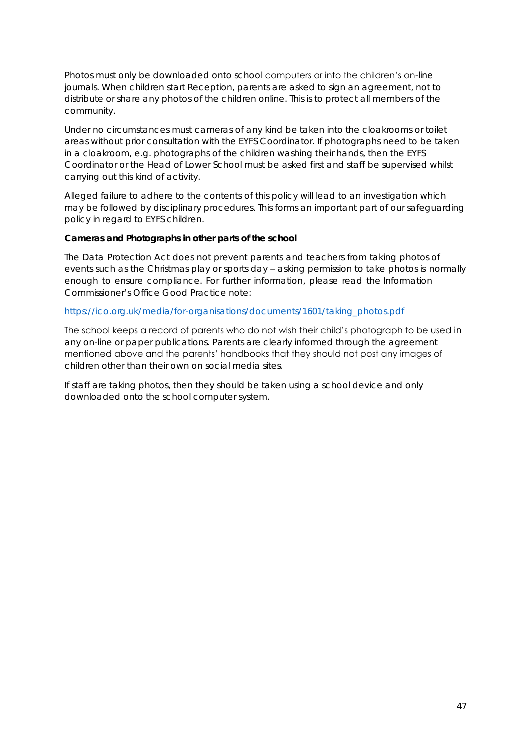Photos must only be downloaded onto school computers or into the children's on-line journals. When children start Reception, parents are asked to sign an agreement, not to distribute or share any photos of the children online. This is to protect all members of the community.

Under no circumstances must cameras of any kind be taken into the cloakrooms or toilet areas without prior consultation with the EYFS Coordinator. If photographs need to be taken in a cloakroom, e.g. photographs of the children washing their hands, then the EYFS Coordinator or the Head of Lower School must be asked first and staff be supervised whilst carrying out this kind of activity.

Alleged failure to adhere to the contents of this policy will lead to an investigation which may be followed by disciplinary procedures. This forms an important part of our safeguarding policy in regard to EYFS children.

### *Cameras and Photographs in other parts of the school*

The Data Protection Act does not prevent parents and teachers from taking photos of events such as the Christmas play or sports day – asking permission to take photos is normally enough to ensure compliance. For further information, please read the Information Commissioner's Office Good Practice note:

### [https://ico.org.uk/media/for-organisations/documents/1601/taking\\_photos.pdf](https://ico.org.uk/media/for-organisations/documents/1601/taking_photos.pdf)

The school keeps a record of parents who do not wish their child's photograph to be used in any on-line or paper publications. Parents are clearly informed through the agreement mentioned above and the parents' handbooks that they should not post any images of children other than their own on social media sites.

If staff are taking photos, then they should be taken using a school device and only downloaded onto the school computer system.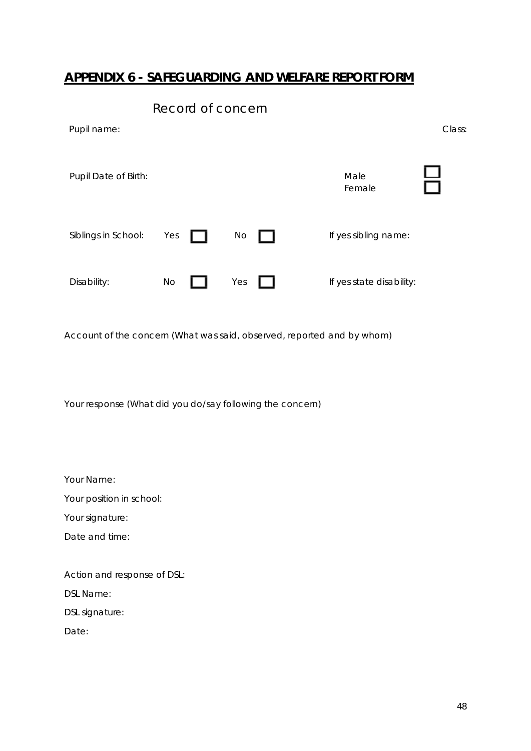# <span id="page-47-0"></span>**APPENDIX 6 - SAFEGUARDING AND WELFARE REPORT FORM**

|                      | Record of concern |           |                          |        |
|----------------------|-------------------|-----------|--------------------------|--------|
| Pupil name:          |                   |           |                          | Class: |
| Pupil Date of Birth: |                   |           | Male<br>Female           |        |
| Siblings in School:  | Yes<br>. .        | No<br>1 I | If yes sibling name:     |        |
| Disability:          | No                | Yes       | If yes state disability: |        |

Account of the concern (What was said, observed, reported and by whom)

Your response (What did you do/say following the concern)

Your Name:

Your position in school:

Your signature:

Date and time:

Action and response of DSL: DSL Name:

DSL signature:

Date: